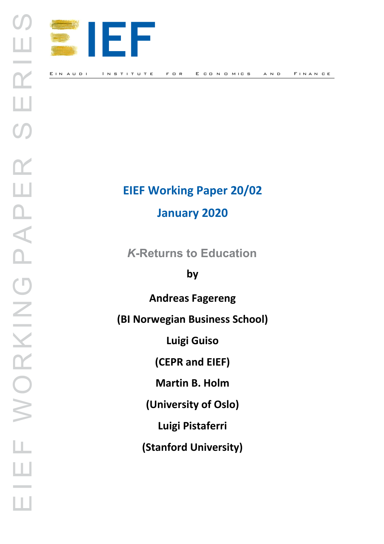

# **EIEF Working Paper 20/02 January 2020**

*K***-Returns to Education** 

# **by**

**Andreas Fagereng**

**(BI Norwegian Business School)**

**Luigi Guiso** 

**(CEPR and EIEF)**

**Martin B. Holm** 

**(University of Oslo)**

**Luigi Pistaferri**

**(Stanford University)**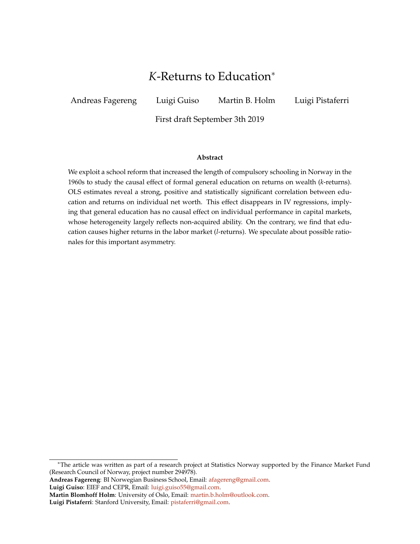## *K*-Returns to Education<sup>∗</sup>

Andreas Fagereng Luigi Guiso Martin B. Holm Luigi Pistaferri

First draft September 3th 2019

#### **Abstract**

We exploit a school reform that increased the length of compulsory schooling in Norway in the 1960s to study the causal effect of formal general education on returns on wealth (*k*-returns). OLS estimates reveal a strong, positive and statistically significant correlation between education and returns on individual net worth. This effect disappears in IV regressions, implying that general education has no causal effect on individual performance in capital markets, whose heterogeneity largely reflects non-acquired ability. On the contrary, we find that education causes higher returns in the labor market (*l*-returns). We speculate about possible rationales for this important asymmetry.

**Andreas Fagereng**: BI Norwegian Business School, Email: [afagereng@gmail.com.](mailto:afagereng@gmail.com) **Luigi Guiso**: EIEF and CEPR, Email: [luigi.guiso55@gmail.com.](mailto:luigi.guiso55@gmail.com)

**Martin Blomhoff Holm**: University of Oslo, Email: [martin.b.holm@outlook.com.](mailto:martin.b.holm@outlook.com)

**Luigi Pistaferri**: Stanford University, Email: [pistaferri@gmail.com.](mailto:pistaferri@gmail.com)

<sup>∗</sup>The article was written as part of a research project at Statistics Norway supported by the Finance Market Fund (Research Council of Norway, project number 294978).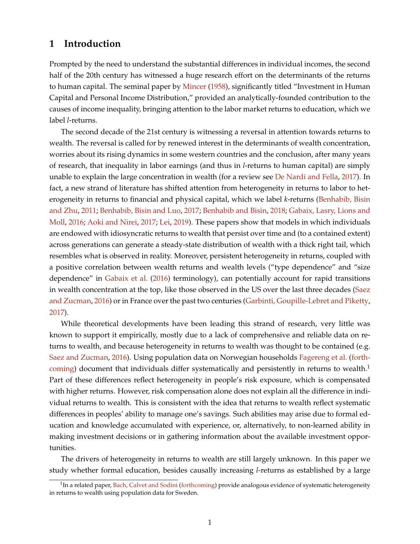### **1 Introduction**

Prompted by the need to understand the substantial differences in individual incomes, the second half of the 20th century has witnessed a huge research effort on the determinants of the returns to human capital. The seminal paper by [Mincer](#page-33-0) [\(1958\)](#page-33-0), significantly titled "Investment in Human Capital and Personal Income Distribution," provided an analytically-founded contribution to the causes of income inequality, bringing attention to the labor market returns to education, which we label *l*-returns.

The second decade of the 21st century is witnessing a reversal in attention towards returns to wealth. The reversal is called for by renewed interest in the determinants of wealth concentration, worries about its rising dynamics in some western countries and the conclusion, after many years of research, that inequality in labor earnings (and thus in *l*-returns to human capital) are simply unable to explain the large concentration in wealth (for a review see [De Nardi and Fella,](#page-32-0) [2017\)](#page-32-0). In fact, a new strand of literature has shifted attention from heterogeneity in returns to labor to heterogeneity in returns to financial and physical capital, which we label *k*-returns [\(Benhabib, Bisin](#page-31-0) [and Zhu,](#page-31-0) [2011;](#page-31-0) [Benhabib, Bisin and Luo,](#page-31-1) [2017;](#page-31-1) [Benhabib and Bisin,](#page-31-2) [2018;](#page-31-2) [Gabaix, Lasry, Lions and](#page-32-1) [Moll,](#page-32-1) [2016;](#page-32-1) [Aoki and Nirei,](#page-31-3) [2017;](#page-31-3) [Lei,](#page-33-1) [2019\)](#page-33-1). These papers show that models in which individuals are endowed with idiosyncratic returns to wealth that persist over time and (to a contained extent) across generations can generate a steady-state distribution of wealth with a thick right tail, which resembles what is observed in reality. Moreover, persistent heterogeneity in returns, coupled with a positive correlation between wealth returns and wealth levels ("type dependence" and "size dependence" in [Gabaix et al.](#page-32-1) [\(2016\)](#page-32-1) terminology), can potentially account for rapid transitions in wealth concentration at the top, like those observed in the US over the last three decades [\(Saez](#page-34-0) [and Zucman,](#page-34-0) [2016\)](#page-34-0) or in France over the past two centuries [\(Garbinti, Goupille-Lebret and Piketty,](#page-32-2) [2017\)](#page-32-2).

While theoretical developments have been leading this strand of research, very little was known to support it empirically, mostly due to a lack of comprehensive and reliable data on returns to wealth, and because heterogeneity in returns to wealth was thought to be contained (e.g. [Saez and Zucman,](#page-34-0) [2016\)](#page-34-0). Using population data on Norwegian households [Fagereng et al.](#page-32-3) [\(forth](#page-32-3)[coming\)](#page-32-3) document that individuals differ systematically and persistently in returns to wealth.<sup>1</sup> Part of these differences reflect heterogeneity in people's risk exposure, which is compensated with higher returns. However, risk compensation alone does not explain all the difference in individual returns to wealth. This is consistent with the idea that returns to wealth reflect systematic differences in peoples' ability to manage one's savings. Such abilities may arise due to formal education and knowledge accumulated with experience, or, alternatively, to non-learned ability in making investment decisions or in gathering information about the available investment opportunities.

The drivers of heterogeneity in returns to wealth are still largely unknown. In this paper we study whether formal education, besides causally increasing *l*-returns as established by a large

 $^1$ In a related paper, [Bach, Calvet and Sodini](#page-31-4) [\(forthcoming\)](#page-31-4) provide analogous evidence of systematic heterogeneity in returns to wealth using population data for Sweden.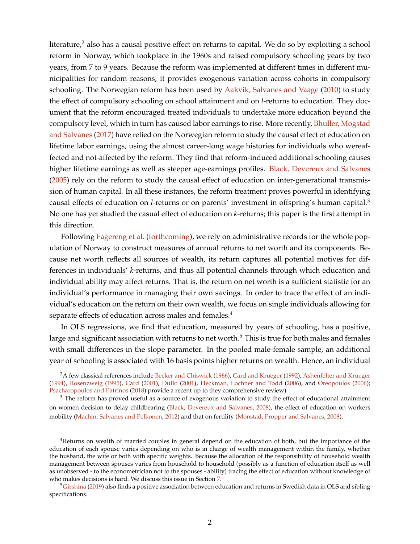literature, $^2$  also has a causal positive effect on returns to capital. We do so by exploiting a school reform in Norway, which tookplace in the 1960s and raised compulsory schooling years by two years, from 7 to 9 years. Because the reform was implemented at different times in different municipalities for random reasons, it provides exogenous variation across cohorts in compulsory schooling. The Norwegian reform has been used by [Aakvik, Salvanes and Vaage](#page-31-5) [\(2010\)](#page-31-5) to study the effect of compulsory schooling on school attainment and on *l*-returns to education. They document that the reform encouraged treated individuals to undertake more education beyond the compulsory level, which in turn has caused labor earnings to rise. More recently, [Bhuller, Mogstad](#page-31-6) [and Salvanes](#page-31-6) [\(2017\)](#page-31-6) have relied on the Norwegian reform to study the causal effect of education on lifetime labor earnings, using the almost career-long wage histories for individuals who wereaffected and not-affected by the reform. They find that reform-induced additional schooling causes higher lifetime earnings as well as steeper age-earnings profiles. [Black, Devereux and Salvanes](#page-31-7) [\(2005\)](#page-31-7) rely on the reform to study the causal effect of education on inter-generational transmission of human capital. In all these instances, the reform treatment proves powerful in identifying causal effects of education on *l*-returns or on parents' investment in offspring's human capital.<sup>3</sup> No one has yet studied the casual effect of education on *k*-returns; this paper is the first attempt in this direction.

Following [Fagereng et al.](#page-32-3) [\(forthcoming\)](#page-32-3), we rely on administrative records for the whole population of Norway to construct measures of annual returns to net worth and its components. Because net worth reflects all sources of wealth, its return captures all potential motives for differences in individuals' *k*-returns, and thus all potential channels through which education and individual ability may affect returns. That is, the return on net worth is a sufficient statistic for an individual's performance in managing their own savings. In order to trace the effect of an individual's education on the return on their own wealth, we focus on single individuals allowing for separate effects of education across males and females.<sup>4</sup>

In OLS regressions, we find that education, measured by years of schooling, has a positive, large and significant association with returns to net worth.<sup>5</sup> This is true for both males and females with small differences in the slope parameter. In the pooled male-female sample, an additional year of schooling is associated with 16 basis points higher returns on wealth. Hence, an individual

<sup>&</sup>lt;sup>2</sup>A few classical references include [Becker and Chiswick](#page-31-8) [\(1966\)](#page-31-8), [Card and Krueger](#page-32-4) [\(1992\)](#page-32-4), [Ashenfelter and Krueger](#page-31-9) [\(1994\)](#page-31-9), [Rosenzweig](#page-33-2) [\(1995\)](#page-33-2), [Card](#page-32-5) [\(2001\)](#page-32-5), [Duflo](#page-32-6) [\(2001\)](#page-32-6), [Heckman, Lochner and Todd](#page-33-3) [\(2006\)](#page-33-3), and [Oreopoulos](#page-33-4) [\(2006\)](#page-33-4); [Psacharopoulos and Patrinos](#page-33-5) [\(2018\)](#page-33-5) provide a recent up to they comprehensive review).

 $3$  The reform has proved useful as a source of exogenous variation to study the effect of educational attainment on women decision to delay childbearing [\(Black, Devereux and Salvanes,](#page-31-10) [2008\)](#page-31-10), the effect of education on workers mobility [\(Machin, Salvanes and Pelkonen,](#page-33-6) [2012\)](#page-33-6) and that on fertility [\(Monstad, Propper and Salvanes,](#page-33-7) [2008\)](#page-33-7).

<sup>&</sup>lt;sup>4</sup>Returns on wealth of married couples in general depend on the education of both, but the importance of the education of each spouse varies depending on who is in charge of wealth management within the family, whether the husband, the wife or both with specific weights. Because the allocation of the responsibility of household wealth management between spouses varies from household to household (possibly as a function of education itself as well as unobserved - to the econometrician not to the spouses - ability) tracing the effect of education without knowledge of who makes decisions is hard. We discuss this issue in Section [7.](#page-19-0)

 $5$ [Girshina](#page-33-8) [\(2019\)](#page-33-8) also finds a positive association between education and returns in Swedish data in OLS and sibling specifications.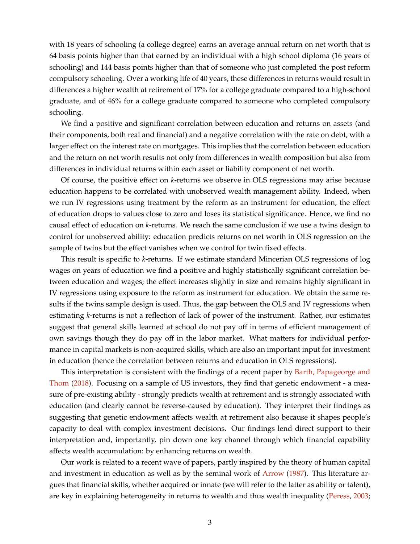with 18 years of schooling (a college degree) earns an average annual return on net worth that is 64 basis points higher than that earned by an individual with a high school diploma (16 years of schooling) and 144 basis points higher than that of someone who just completed the post reform compulsory schooling. Over a working life of 40 years, these differences in returns would result in differences a higher wealth at retirement of 17% for a college graduate compared to a high-school graduate, and of 46% for a college graduate compared to someone who completed compulsory schooling.

We find a positive and significant correlation between education and returns on assets (and their components, both real and financial) and a negative correlation with the rate on debt, with a larger effect on the interest rate on mortgages. This implies that the correlation between education and the return on net worth results not only from differences in wealth composition but also from differences in individual returns within each asset or liability component of net worth.

Of course, the positive effect on *k*-returns we observe in OLS regressions may arise because education happens to be correlated with unobserved wealth management ability. Indeed, when we run IV regressions using treatment by the reform as an instrument for education, the effect of education drops to values close to zero and loses its statistical significance. Hence, we find no causal effect of education on *k*-returns. We reach the same conclusion if we use a twins design to control for unobserved ability: education predicts returns on net worth in OLS regression on the sample of twins but the effect vanishes when we control for twin fixed effects.

This result is specific to *k*-returns. If we estimate standard Mincerian OLS regressions of log wages on years of education we find a positive and highly statistically significant correlation between education and wages; the effect increases slightly in size and remains highly significant in IV regressions using exposure to the reform as instrument for education. We obtain the same results if the twins sample design is used. Thus, the gap between the OLS and IV regressions when estimating *k*-returns is not a reflection of lack of power of the instrument. Rather, our estimates suggest that general skills learned at school do not pay off in terms of efficient management of own savings though they do pay off in the labor market. What matters for individual performance in capital markets is non-acquired skills, which are also an important input for investment in education (hence the correlation between returns and education in OLS regressions).

This interpretation is consistent with the findings of a recent paper by [Barth, Papageorge and](#page-31-11) [Thom](#page-31-11) [\(2018\)](#page-31-11). Focusing on a sample of US investors, they find that genetic endowment - a measure of pre-existing ability - strongly predicts wealth at retirement and is strongly associated with education (and clearly cannot be reverse-caused by education). They interpret their findings as suggesting that genetic endowment affects wealth at retirement also because it shapes people's capacity to deal with complex investment decisions. Our findings lend direct support to their interpretation and, importantly, pin down one key channel through which financial capability affects wealth accumulation: by enhancing returns on wealth.

Our work is related to a recent wave of papers, partly inspired by the theory of human capital and investment in education as well as by the seminal work of [Arrow](#page-31-12) [\(1987\)](#page-31-12). This literature argues that financial skills, whether acquired or innate (we will refer to the latter as ability or talent), are key in explaining heterogeneity in returns to wealth and thus wealth inequality [\(Peress,](#page-33-9) [2003;](#page-33-9)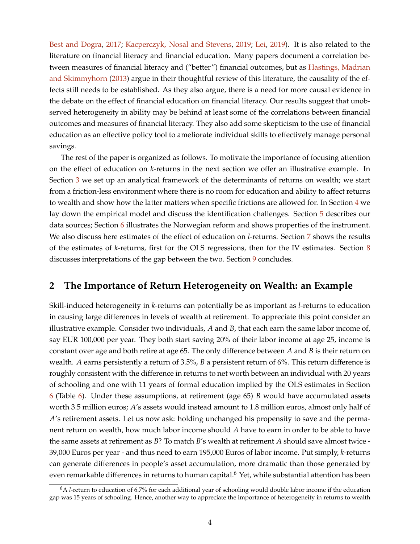[Best and Dogra,](#page-31-13) [2017;](#page-31-13) [Kacperczyk, Nosal and Stevens,](#page-33-10) [2019;](#page-33-10) [Lei,](#page-33-1) [2019\)](#page-33-1). It is also related to the literature on financial literacy and financial education. Many papers document a correlation between measures of financial literacy and ("better") financial outcomes, but as [Hastings, Madrian](#page-33-11) [and Skimmyhorn](#page-33-11) [\(2013\)](#page-33-11) argue in their thoughtful review of this literature, the causality of the effects still needs to be established. As they also argue, there is a need for more causal evidence in the debate on the effect of financial education on financial literacy. Our results suggest that unobserved heterogeneity in ability may be behind at least some of the correlations between financial outcomes and measures of financial literacy. They also add some skepticism to the use of financial education as an effective policy tool to ameliorate individual skills to effectively manage personal savings.

The rest of the paper is organized as follows. To motivate the importance of focusing attention on the effect of education on *k*-returns in the next section we offer an illustrative example. In Section [3](#page-6-0) we set up an analytical framework of the determinants of returns on wealth; we start from a friction-less environment where there is no room for education and ability to affect returns to wealth and show how the latter matters when specific frictions are allowed for. In Section  $4$  we lay down the empirical model and discuss the identification challenges. Section [5](#page-9-0) describes our data sources; Section [6](#page-13-0) illustrates the Norwegian reform and shows properties of the instrument. We also discuss here estimates of the effect of education on *l*-returns. Section [7](#page-19-0) shows the results of the estimates of *k*-returns, first for the OLS regressions, then for the IV estimates. Section [8](#page-26-0) discusses interpretations of the gap between the two. Section [9](#page-29-0) concludes.

## **2 The Importance of Return Heterogeneity on Wealth: an Example**

Skill-induced heterogeneity in *k*-returns can potentially be as important as *l*-returns to education in causing large differences in levels of wealth at retirement. To appreciate this point consider an illustrative example. Consider two individuals, *A* and *B*, that each earn the same labor income of, say EUR 100,000 per year. They both start saving 20% of their labor income at age 25, income is constant over age and both retire at age 65. The only difference between *A* and *B* is their return on wealth. *A* earns persistently a return of 3.5%, *B* a persistent return of 6%. This return difference is roughly consistent with the difference in returns to net worth between an individual with 20 years of schooling and one with 11 years of formal education implied by the OLS estimates in Section [6](#page-13-0) (Table [6\)](#page-20-0). Under these assumptions, at retirement (age 65) *B* would have accumulated assets worth 3.5 million euros; *A*'s assets would instead amount to 1.8 million euros, almost only half of *A*'s retirement assets. Let us now ask: holding unchanged his propensity to save and the permanent return on wealth, how much labor income should *A* have to earn in order to be able to have the same assets at retirement as *B*? To match *B*'s wealth at retirement *A* should save almost twice - 39,000 Euros per year - and thus need to earn 195,000 Euros of labor income. Put simply, *k*-returns can generate differences in people's asset accumulation, more dramatic than those generated by even remarkable differences in returns to human capital.<sup>6</sup> Yet, while substantial attention has been

<sup>6</sup>A *l*-return to education of 6.7% for each additional year of schooling would double labor income if the education gap was 15 years of schooling. Hence, another way to appreciate the importance of heterogeneity in returns to wealth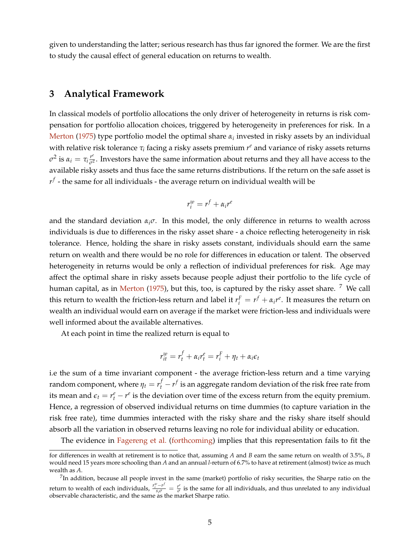given to understanding the latter; serious research has thus far ignored the former. We are the first to study the causal effect of general education on returns to wealth.

## <span id="page-6-0"></span>**3 Analytical Framework**

In classical models of portfolio allocations the only driver of heterogeneity in returns is risk compensation for portfolio allocation choices, triggered by heterogeneity in preferences for risk. In a [Merton](#page-33-12) [\(1975\)](#page-33-12) type portfolio model the optimal share  $\alpha_i$  invested in risky assets by an individual with relative risk tolerance *τ<sup>i</sup>* facing a risky assets premium *r <sup>e</sup>* and variance of risky assets returns *σ*<sup>2</sup> is  $α<sub>i</sub> = τ<sub>i</sub> \frac{r<sup>e</sup>}{σ<sup>2</sup>}$  $\frac{r}{\sigma^2}$ . Investors have the same information about returns and they all have access to the available risky assets and thus face the same returns distributions. If the return on the safe asset is *r f* - the same for all individuals - the average return on individual wealth will be

$$
r_i^w = r^f + \alpha_i r^e
$$

and the standard deviation  $\alpha_i\sigma$ . In this model, the only difference in returns to wealth across individuals is due to differences in the risky asset share - a choice reflecting heterogeneity in risk tolerance. Hence, holding the share in risky assets constant, individuals should earn the same return on wealth and there would be no role for differences in education or talent. The observed heterogeneity in returns would be only a reflection of individual preferences for risk. Age may affect the optimal share in risky assets because people adjust their portfolio to the life cycle of human capital, as in [Merton](#page-33-12) [\(1975\)](#page-33-12), but this, too, is captured by the risky asset share. <sup>7</sup> We call this return to wealth the friction-less return and label it  $r_i^F = r^f + \alpha_i r^e$ . It measures the return on wealth an individual would earn on average if the market were friction-less and individuals were well informed about the available alternatives.

At each point in time the realized return is equal to

$$
r_{it}^w = r_t^f + \alpha_i r_t^e = r_i^F + \eta_t + \alpha_i \epsilon_t
$$

i.e the sum of a time invariant component - the average friction-less return and a time varying random component, where  $\eta_t = r^f_t - r^f$  is an aggregate random deviation of the risk free rate from its mean and  $\epsilon_t = r_t^e - r^e$  is the deviation over time of the excess return from the equity premium. Hence, a regression of observed individual returns on time dummies (to capture variation in the risk free rate), time dummies interacted with the risky share and the risky share itself should absorb all the variation in observed returns leaving no role for individual ability or education.

The evidence in [Fagereng et al.](#page-32-3) [\(forthcoming\)](#page-32-3) implies that this representation fails to fit the

for differences in wealth at retirement is to notice that, assuming *A* and *B* earn the same return on wealth of 3.5%, *B* would need 15 years more schooling than *A* and an annual *l*-return of 6.7% to have at retirement (almost) twice as much wealth as *A*.

 $^{7}$ In addition, because all people invest in the same (market) portfolio of risky securities, the Sharpe ratio on the return to wealth of each individuals,  $\frac{r_i^w - r^f}{s_i \sigma} = \frac{r^e}{\sigma}$  $\frac{d\sigma}{dt}$  is the same for all individuals, and thus unrelated to any individual observable characteristic, and the same as the market Sharpe ratio.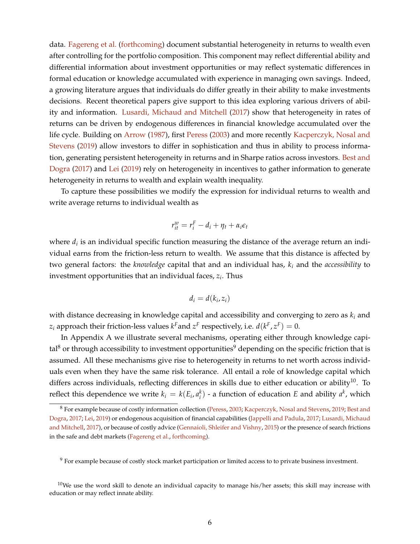data. [Fagereng et al.](#page-32-3) [\(forthcoming\)](#page-32-3) document substantial heterogeneity in returns to wealth even after controlling for the portfolio composition. This component may reflect differential ability and differential information about investment opportunities or may reflect systematic differences in formal education or knowledge accumulated with experience in managing own savings. Indeed, a growing literature argues that individuals do differ greatly in their ability to make investments decisions. Recent theoretical papers give support to this idea exploring various drivers of ability and information. [Lusardi, Michaud and Mitchell](#page-33-13) [\(2017\)](#page-33-13) show that heterogeneity in rates of returns can be driven by endogenous differences in financial knowledge accumulated over the life cycle. Building on [Arrow](#page-31-12) [\(1987\)](#page-31-12), first [Peress](#page-33-9) [\(2003\)](#page-33-9) and more recently [Kacperczyk, Nosal and](#page-33-10) [Stevens](#page-33-10) [\(2019\)](#page-33-10) allow investors to differ in sophistication and thus in ability to process information, generating persistent heterogeneity in returns and in Sharpe ratios across investors. [Best and](#page-31-13) [Dogra](#page-31-13) [\(2017\)](#page-31-13) and [Lei](#page-33-1) [\(2019\)](#page-33-1) rely on heterogeneity in incentives to gather information to generate heterogeneity in returns to wealth and explain wealth inequality.

To capture these possibilities we modify the expression for individual returns to wealth and write average returns to individual wealth as

$$
r_{it}^w = r_i^F - d_i + \eta_t + \alpha_i \epsilon_t
$$

where  $d_i$  is an individual specific function measuring the distance of the average return an individual earns from the friction-less return to wealth. We assume that this distance is affected by two general factors: the *knowledge* capital that and an individual has, *k<sup>i</sup>* and the *accessibility* to investment opportunities that an individual faces, *z<sup>i</sup>* . Thus

$$
d_i = d(k_i, z_i)
$$

with distance decreasing in knowledge capital and accessibility and converging to zero as *k<sup>i</sup>* and  $z_i$  approach their friction-less values  $k^F$  and  $z^F$  respectively, i.e.  $d(k^F, z^F) = 0$ .

In Appendix A we illustrate several mechanisms, operating either through knowledge capi- $\text{tal}^8$  or through accessibility to investment opportunities<sup>9</sup> depending on the specific friction that is assumed. All these mechanisms give rise to heterogeneity in returns to net worth across individuals even when they have the same risk tolerance. All entail a role of knowledge capital which differs across individuals, reflecting differences in skills due to either education or ability<sup>10</sup>. To reflect this dependence we write  $k_i = k(E_i, a_i^k)$  - a function of education *E* and ability  $a^k$ , which

<sup>8</sup> For example because of costly information collection [\(Peress,](#page-33-9) [2003;](#page-33-9) [Kacperczyk, Nosal and Stevens,](#page-33-10) [2019;](#page-33-10) [Best and](#page-31-13) [Dogra,](#page-31-13) [2017;](#page-31-13) [Lei,](#page-33-1) [2019\)](#page-33-1) or endogenous acquisition of financial capabilities [\(Jappelli and Padula,](#page-33-14) [2017;](#page-33-14) [Lusardi, Michaud](#page-33-13) [and Mitchell,](#page-33-13) [2017\)](#page-33-13), or because of costly advice [\(Gennaioli, Shleifer and Vishny,](#page-33-15) [2015\)](#page-33-15) or the presence of search frictions in the safe and debt markets [\(Fagereng et al.,](#page-32-3) [forthcoming\)](#page-32-3).

<sup>&</sup>lt;sup>9</sup> For example because of costly stock market participation or limited access to to private business investment.

 $10$ We use the word skill to denote an individual capacity to manage his/her assets; this skill may increase with education or may reflect innate ability.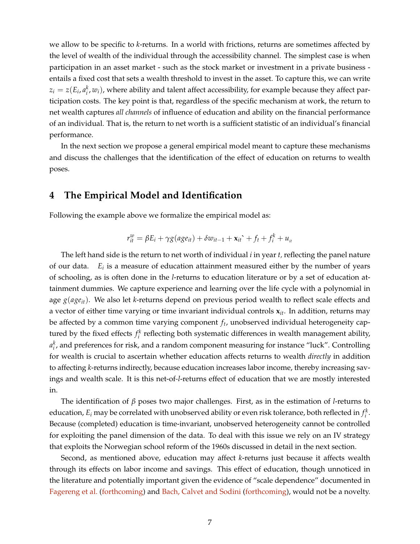we allow to be specific to *k*-returns. In a world with frictions, returns are sometimes affected by the level of wealth of the individual through the accessibility channel. The simplest case is when participation in an asset market - such as the stock market or investment in a private business entails a fixed cost that sets a wealth threshold to invest in the asset. To capture this, we can write  $z_i = z(E_i, a_i^k, w_i)$ , where ability and talent affect accessibility, for example because they affect participation costs. The key point is that, regardless of the specific mechanism at work, the return to net wealth captures *all channels* of influence of education and ability on the financial performance of an individual. That is, the return to net worth is a sufficient statistic of an individual's financial performance.

In the next section we propose a general empirical model meant to capture these mechanisms and discuss the challenges that the identification of the effect of education on returns to wealth poses.

## <span id="page-8-0"></span>**4 The Empirical Model and Identification**

Following the example above we formalize the empirical model as:

$$
r_{it}^w = \beta E_i + \gamma g(a g e_{it}) + \delta w_{it-1} + \mathbf{x}_{it} + f_t + f_t^k + u_{it}
$$

The left hand side is the return to net worth of individual *i* in year *t,* reflecting the panel nature of our data.  $E_i$  is a measure of education attainment measured either by the number of years of schooling, as is often done in the *l*-returns to education literature or by a set of education attainment dummies. We capture experience and learning over the life cycle with a polynomial in age  $g(age<sub>it</sub>)$ . We also let *k*-returns depend on previous period wealth to reflect scale effects and a vector of either time varying or time invariant individual controls **x***it*. In addition, returns may be affected by a common time varying component *f<sup>t</sup>* , unobserved individual heterogeneity captured by the fixed effects  $f_i^k$  reflecting both systematic differences in wealth management ability,  $a_i^k$ , and preferences for risk, and a random component measuring for instance "luck". Controlling for wealth is crucial to ascertain whether education affects returns to wealth *directly* in addition to affecting *k*-returns indirectly, because education increases labor income, thereby increasing savings and wealth scale. It is this net-of*-l*-returns effect of education that we are mostly interested in.

The identification of *β* poses two major challenges. First, as in the estimation of *l*-returns to education,  $E_i$  may be correlated with unobserved ability or even risk tolerance, both reflected in  $f_i^k$ . Because (completed) education is time-invariant, unobserved heterogeneity cannot be controlled for exploiting the panel dimension of the data. To deal with this issue we rely on an IV strategy that exploits the Norwegian school reform of the 1960s discussed in detail in the next section.

Second, as mentioned above, education may affect *k*-returns just because it affects wealth through its effects on labor income and savings. This effect of education, though unnoticed in the literature and potentially important given the evidence of "scale dependence" documented in [Fagereng et al.](#page-32-3) [\(forthcoming\)](#page-32-3) and [Bach, Calvet and Sodini](#page-31-4) [\(forthcoming\)](#page-31-4), would not be a novelty.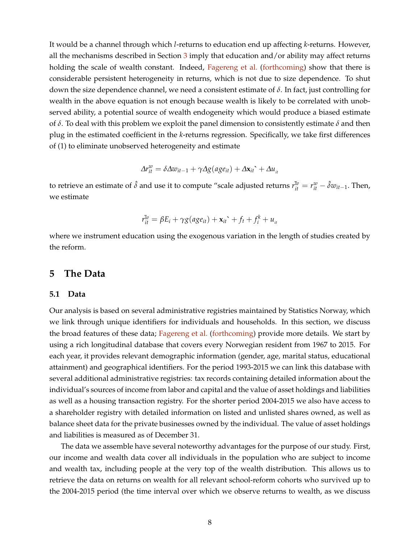It would be a channel through which *l*-returns to education end up affecting *k*-returns. However, all the mechanisms described in Section  $3$  imply that education and/or ability may affect returns holding the scale of wealth constant. Indeed, [Fagereng et al.](#page-32-3) [\(forthcoming\)](#page-32-3) show that there is considerable persistent heterogeneity in returns, which is not due to size dependence. To shut down the size dependence channel, we need a consistent estimate of *δ*. In fact, just controlling for wealth in the above equation is not enough because wealth is likely to be correlated with unobserved ability, a potential source of wealth endogeneity which would produce a biased estimate of *δ*. To deal with this problem we exploit the panel dimension to consistently estimate *δ* and then plug in the estimated coefficient in the *k*-returns regression. Specifically, we take first differences of (1) to eliminate unobserved heterogeneity and estimate

$$
\Delta r_{it}^w = \delta \Delta w_{it-1} + \gamma \Delta g(age_{it}) + \Delta x_{it} + \Delta u_{it}
$$

to retrieve an estimate of  $\hat{\delta}$  and use it to compute "scale adjusted returns  $\tilde{r}_{it}^{\tilde{w}}=r_{it}^w-\hat{\delta}w_{it-1}.$  Then, we estimate

$$
\tilde{r_{it}}^{\tilde{w}} = \beta E_i + \gamma g (age_{it}) + \mathbf{x}_{it} + f_t + f_i^k + u_{it}
$$

where we instrument education using the exogenous variation in the length of studies created by the reform.

#### <span id="page-9-0"></span>**5 The Data**

#### **5.1 Data**

Our analysis is based on several administrative registries maintained by Statistics Norway, which we link through unique identifiers for individuals and households. In this section, we discuss the broad features of these data; [Fagereng et al.](#page-32-3) [\(forthcoming\)](#page-32-3) provide more details. We start by using a rich longitudinal database that covers every Norwegian resident from 1967 to 2015. For each year, it provides relevant demographic information (gender, age, marital status, educational attainment) and geographical identifiers. For the period 1993-2015 we can link this database with several additional administrative registries: tax records containing detailed information about the individual's sources of income from labor and capital and the value of asset holdings and liabilities as well as a housing transaction registry. For the shorter period 2004-2015 we also have access to a shareholder registry with detailed information on listed and unlisted shares owned, as well as balance sheet data for the private businesses owned by the individual. The value of asset holdings and liabilities is measured as of December 31.

The data we assemble have several noteworthy advantages for the purpose of our study. First, our income and wealth data cover all individuals in the population who are subject to income and wealth tax, including people at the very top of the wealth distribution. This allows us to retrieve the data on returns on wealth for all relevant school-reform cohorts who survived up to the 2004-2015 period (the time interval over which we observe returns to wealth, as we discuss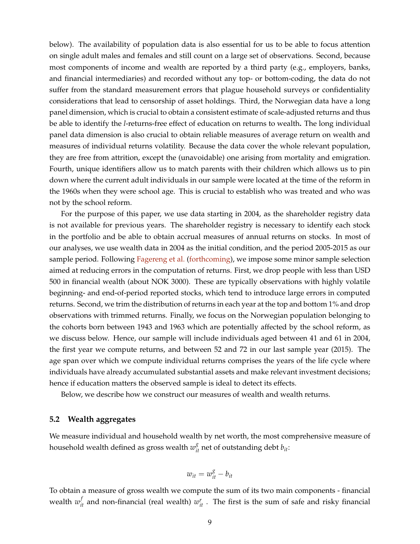below). The availability of population data is also essential for us to be able to focus attention on single adult males and females and still count on a large set of observations. Second, because most components of income and wealth are reported by a third party (e.g., employers, banks, and financial intermediaries) and recorded without any top- or bottom-coding, the data do not suffer from the standard measurement errors that plague household surveys or confidentiality considerations that lead to censorship of asset holdings. Third, the Norwegian data have a long panel dimension, which is crucial to obtain a consistent estimate of scale-adjusted returns and thus be able to identify the *l*-returns-free effect of education on returns to wealth**.** The long individual panel data dimension is also crucial to obtain reliable measures of average return on wealth and measures of individual returns volatility. Because the data cover the whole relevant population, they are free from attrition, except the (unavoidable) one arising from mortality and emigration. Fourth, unique identifiers allow us to match parents with their children which allows us to pin down where the current adult individuals in our sample were located at the time of the reform in the 1960s when they were school age. This is crucial to establish who was treated and who was not by the school reform.

For the purpose of this paper, we use data starting in 2004, as the shareholder registry data is not available for previous years. The shareholder registry is necessary to identify each stock in the portfolio and be able to obtain accrual measures of annual returns on stocks. In most of our analyses, we use wealth data in 2004 as the initial condition, and the period 2005-2015 as our sample period. Following [Fagereng et al.](#page-32-3) [\(forthcoming\)](#page-32-3), we impose some minor sample selection aimed at reducing errors in the computation of returns. First, we drop people with less than USD 500 in financial wealth (about NOK 3000). These are typically observations with highly volatile beginning- and end-of-period reported stocks, which tend to introduce large errors in computed returns. Second, we trim the distribution of returns in each year at the top and bottom 1% and drop observations with trimmed returns. Finally, we focus on the Norwegian population belonging to the cohorts born between 1943 and 1963 which are potentially affected by the school reform, as we discuss below. Hence, our sample will include individuals aged between 41 and 61 in 2004, the first year we compute returns, and between 52 and 72 in our last sample year (2015). The age span over which we compute individual returns comprises the years of the life cycle where individuals have already accumulated substantial assets and make relevant investment decisions; hence if education matters the observed sample is ideal to detect its effects.

Below, we describe how we construct our measures of wealth and wealth returns.

#### **5.2 Wealth aggregates**

We measure individual and household wealth by net worth, the most comprehensive measure of household wealth defined as gross wealth  $w_{it}^g$  net of outstanding debt  $b_{it}$ :

$$
w_{it} = w_{it}^g - b_{it}
$$

To obtain a measure of gross wealth we compute the sum of its two main components - financial wealth  $w_{it}^f$  and non-financial (real wealth)  $w_{it}^r$  . The first is the sum of safe and risky financial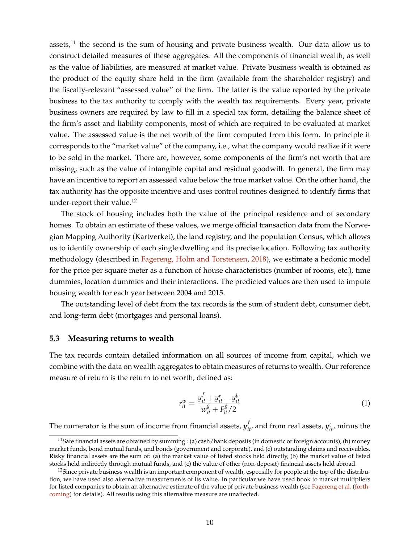assets,<sup>11</sup> the second is the sum of housing and private business wealth. Our data allow us to construct detailed measures of these aggregates. All the components of financial wealth, as well as the value of liabilities, are measured at market value. Private business wealth is obtained as the product of the equity share held in the firm (available from the shareholder registry) and the fiscally-relevant "assessed value" of the firm. The latter is the value reported by the private business to the tax authority to comply with the wealth tax requirements. Every year, private business owners are required by law to fill in a special tax form, detailing the balance sheet of the firm's asset and liability components, most of which are required to be evaluated at market value. The assessed value is the net worth of the firm computed from this form. In principle it corresponds to the "market value" of the company, i.e., what the company would realize if it were to be sold in the market. There are, however, some components of the firm's net worth that are missing, such as the value of intangible capital and residual goodwill. In general, the firm may have an incentive to report an assessed value below the true market value. On the other hand, the tax authority has the opposite incentive and uses control routines designed to identify firms that under-report their value.<sup>12</sup>

The stock of housing includes both the value of the principal residence and of secondary homes. To obtain an estimate of these values, we merge official transaction data from the Norwegian Mapping Authority (Kartverket), the land registry, and the population Census, which allows us to identify ownership of each single dwelling and its precise location. Following tax authority methodology (described in [Fagereng, Holm and Torstensen,](#page-32-7) [2018\)](#page-32-7), we estimate a hedonic model for the price per square meter as a function of house characteristics (number of rooms, etc.), time dummies, location dummies and their interactions. The predicted values are then used to impute housing wealth for each year between 2004 and 2015.

The outstanding level of debt from the tax records is the sum of student debt, consumer debt, and long-term debt (mortgages and personal loans).

#### **5.3 Measuring returns to wealth**

The tax records contain detailed information on all sources of income from capital, which we combine with the data on wealth aggregates to obtain measures of returns to wealth. Our reference measure of return is the return to net worth*,* defined as:

<span id="page-11-0"></span>
$$
r_{it}^{w} = \frac{y_{it}^{f} + y_{it}^{r} - y_{it}^{b}}{w_{it}^{g} + F_{it}^{g}/2}
$$
 (1)

The numerator is the sum of income from financial assets,  $y_{it'}^f$  and from real assets,  $y_{it'}^r$  minus the

<sup>&</sup>lt;sup>11</sup>Safe financial assets are obtained by summing : (a) cash/bank deposits (in domestic or foreign accounts), (b) money market funds, bond mutual funds, and bonds (government and corporate), and (c) outstanding claims and receivables. Risky financial assets are the sum of: (a) the market value of listed stocks held directly, (b) the market value of listed stocks held indirectly through mutual funds, and (c) the value of other (non-deposit) financial assets held abroad.

<sup>&</sup>lt;sup>12</sup>Since private business wealth is an important component of wealth, especially for people at the top of the distribution, we have used also alternative measurements of its value. In particular we have used book to market multipliers for listed companies to obtain an alternative estimate of the value of private business wealth (see [Fagereng et al.](#page-32-3) [\(forth](#page-32-3)[coming\)](#page-32-3) for details). All results using this alternative measure are unaffected.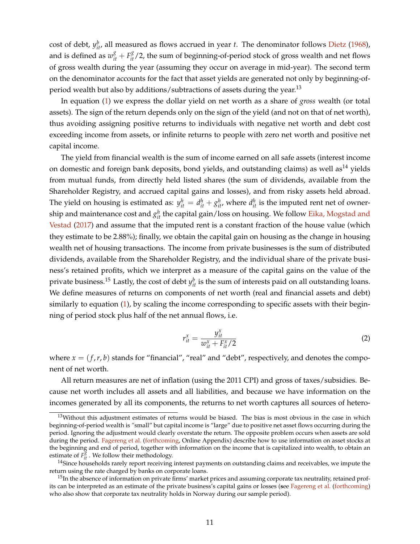cost of debt,  $y_{it}^b$ , all measured as flows accrued in year *t*. The denominator follows [Dietz](#page-32-8) [\(1968\)](#page-32-8), and is defined as  $w_{it}^g + F_{it}^g/2$ , the sum of beginning-of-period stock of gross wealth and net flows of gross wealth during the year (assuming they occur on average in mid-year). The second term on the denominator accounts for the fact that asset yields are generated not only by beginning-ofperiod wealth but also by additions/subtractions of assets during the year.<sup>13</sup>

In equation [\(1\)](#page-11-0) we express the dollar yield on net worth as a share of *gross* wealth (or total assets). The sign of the return depends only on the sign of the yield (and not on that of net worth), thus avoiding assigning positive returns to individuals with negative net worth and debt cost exceeding income from assets, or infinite returns to people with zero net worth and positive net capital income.

The yield from financial wealth is the sum of income earned on all safe assets (interest income on domestic and foreign bank deposits, bond yields, and outstanding claims) as well as<sup>14</sup> yields from mutual funds, from directly held listed shares (the sum of dividends, available from the Shareholder Registry, and accrued capital gains and losses), and from risky assets held abroad. The yield on housing is estimated as:  $y_{it}^h = d_{it}^h + g_{it}^h$ , where  $d_{it}^h$  is the imputed rent net of ownership and maintenance cost and  $g_{it}^h$  the capital gain/loss on housing. We follow [Eika, Mogstad and](#page-32-9) [Vestad](#page-32-9) [\(2017\)](#page-32-9) and assume that the imputed rent is a constant fraction of the house value (which they estimate to be 2.88%); finally, we obtain the capital gain on housing as the change in housing wealth net of housing transactions. The income from private businesses is the sum of distributed dividends, available from the Shareholder Registry, and the individual share of the private business's retained profits, which we interpret as a measure of the capital gains on the value of the private business.<sup>15</sup> Lastly, the cost of debt  $y_{it}^b$  is the sum of interests paid on all outstanding loans. We define measures of returns on components of net worth (real and financial assets and debt) similarly to equation [\(1\)](#page-11-0), by scaling the income corresponding to specific assets with their beginning of period stock plus half of the net annual flows, i.e.

$$
r_{it}^x = \frac{y_{it}^x}{w_{it}^x + F_{it}^x/2}
$$
 (2)

where  $x = (f, r, b)$  stands for "financial", "real" and "debt", respectively, and denotes the component of net worth.

All return measures are net of inflation (using the 2011 CPI) and gross of taxes/subsidies. Because net worth includes all assets and all liabilities, and because we have information on the incomes generated by all its components, the returns to net worth captures all sources of hetero-

<sup>&</sup>lt;sup>13</sup>Without this adjustment estimates of returns would be biased. The bias is most obvious in the case in which beginning-of-period wealth is *"*small" but capital income is "large" due to positive net asset flows occurring during the period. Ignoring the adjustment would clearly overstate the return. The opposite problem occurs when assets are sold during the period. [Fagereng et al.](#page-32-3) [\(forthcoming,](#page-32-3) Online Appendix) describe how to use information on asset stocks at the beginning and end of period, together with information on the income that is capitalized into wealth, to obtain an estimate of  $F_{it}^g$ . We follow their methodology.

<sup>&</sup>lt;sup>14</sup>Since households rarely report receiving interest payments on outstanding claims and receivables, we impute the return using the rate charged by banks on corporate loans.

<sup>&</sup>lt;sup>15</sup>In the absence of information on private firms' market prices and assuming corporate tax neutrality, retained profits can be interpreted as an estimate of the private business's capital gains or losses (**s**ee [Fagereng et al.](#page-32-3) [\(forthcoming\)](#page-32-3) who also show that corporate tax neutrality holds in Norway during our sample period).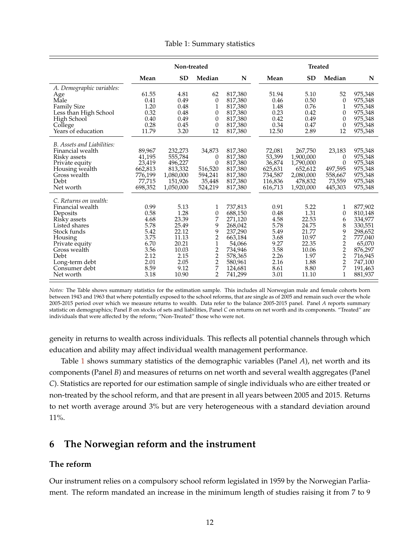<span id="page-13-1"></span>

|                                                                                      | Non-treated                                  |                                                 |                                                                                           |                                                               | <b>Treated</b>                               |                                                 |                                                                                        |                                                               |
|--------------------------------------------------------------------------------------|----------------------------------------------|-------------------------------------------------|-------------------------------------------------------------------------------------------|---------------------------------------------------------------|----------------------------------------------|-------------------------------------------------|----------------------------------------------------------------------------------------|---------------------------------------------------------------|
|                                                                                      | Mean                                         | SD                                              | Median                                                                                    | N                                                             | Mean                                         | <b>SD</b>                                       | Median                                                                                 | N                                                             |
| A. Demographic variables:                                                            |                                              |                                                 |                                                                                           |                                                               |                                              |                                                 |                                                                                        |                                                               |
| Age<br>Male                                                                          | 61.55                                        | 4.81                                            | 62                                                                                        | 817,380                                                       | 51.94                                        | 5.10                                            | 52                                                                                     | 975,348                                                       |
|                                                                                      | 0.41                                         | 0.49                                            | $\boldsymbol{0}$                                                                          | 817,380                                                       | 0.46                                         | 0.50                                            | $\theta$                                                                               | 975,348                                                       |
| <b>Family Size</b>                                                                   | 1.20                                         | 0.48                                            | 1                                                                                         | 817,380                                                       | 1.48                                         | 0.76                                            | 1                                                                                      | 975,348                                                       |
| Less than High School                                                                | 0.32<br>0.40                                 | 0.48<br>0.49                                    | $\theta$<br>$\overline{0}$                                                                | 817,380                                                       | 0.23<br>0.42                                 | 0.42<br>0.49                                    | 0<br>$\theta$                                                                          | 975,348                                                       |
| High School<br>College                                                               | 0.28                                         | 0.45                                            | $\theta$                                                                                  | 817,380<br>817,380                                            | 0.34                                         | 0.47                                            | 0                                                                                      | 975,348<br>975,348                                            |
| Years of education                                                                   | 11.79                                        | 3.20                                            | 12                                                                                        | 817,380                                                       | 12.50                                        | 2.89                                            | 12                                                                                     | 975,348                                                       |
|                                                                                      |                                              |                                                 |                                                                                           |                                                               |                                              |                                                 |                                                                                        |                                                               |
| <b>B.</b> Assets and Liabilities:                                                    |                                              |                                                 |                                                                                           |                                                               |                                              |                                                 |                                                                                        |                                                               |
| Financial wealth                                                                     | 89,967                                       | 232.273                                         | 34,873                                                                                    | 817,380                                                       | 72.081                                       | 267,750                                         | 23,183                                                                                 | 975,348                                                       |
| Risky assets                                                                         | 41,195                                       | 555,784                                         | 0                                                                                         | 817,380                                                       | 53,399                                       | 1.900.000                                       | 0                                                                                      | 975,348                                                       |
| Private equity                                                                       | 23,419                                       | 496,227                                         | $\Omega$                                                                                  | 817,380                                                       | 36,874                                       | 1,790,000                                       | $\Omega$                                                                               | 975,348                                                       |
| Housing wealth                                                                       | 662,813                                      | 813,332                                         | 516,520                                                                                   | 817,380                                                       | 625,631                                      | 652,612                                         | 497,595                                                                                | 975,348                                                       |
| Gross wealth                                                                         | 776,199                                      | 1,080,000                                       | 594,241                                                                                   | 817,380                                                       | 734,587                                      | 2,080,000                                       | 558,667                                                                                | 975,348                                                       |
| Debt                                                                                 | 77,715                                       | 151,926                                         | 35,448                                                                                    | 817,380                                                       | 116,836                                      | 478,832                                         | 73,559                                                                                 | 975,348                                                       |
| Net worth                                                                            | 698,352                                      | 1,050,000                                       | 524,219                                                                                   | 817,380                                                       | 616,713                                      | 1,920,000                                       | 445,303                                                                                | 975,348                                                       |
|                                                                                      |                                              |                                                 |                                                                                           |                                                               |                                              |                                                 |                                                                                        |                                                               |
| C. Returns on wealth:                                                                |                                              |                                                 |                                                                                           |                                                               |                                              |                                                 |                                                                                        |                                                               |
| Financial wealth                                                                     | 0.99                                         | 5.13                                            | 1                                                                                         | 737.813                                                       | 0.91                                         | 5.22                                            | 1                                                                                      | 877,902                                                       |
| Deposits                                                                             | 0.58                                         | 1.28                                            | $\boldsymbol{0}$                                                                          | 688,150                                                       | 0.48                                         | 1.31                                            | 0                                                                                      | 810,148                                                       |
| Risky assets                                                                         | 4.68<br>5.78                                 | 23.39<br>25.49                                  | 7<br>9                                                                                    | 271,120                                                       | 4.58<br>5.78                                 | 22.53<br>24.75                                  | 6<br>8                                                                                 | 334,977                                                       |
| Listed shares<br>Stock funds                                                         | 5.42                                         | 22.12                                           | 9                                                                                         | 268,042<br>237,290                                            | 5.49                                         | 21.77                                           | 9                                                                                      | 330,551<br>298,652                                            |
|                                                                                      |                                              |                                                 |                                                                                           |                                                               |                                              |                                                 |                                                                                        |                                                               |
|                                                                                      |                                              |                                                 |                                                                                           |                                                               |                                              |                                                 |                                                                                        |                                                               |
|                                                                                      |                                              |                                                 |                                                                                           |                                                               |                                              |                                                 |                                                                                        |                                                               |
|                                                                                      |                                              |                                                 |                                                                                           |                                                               |                                              |                                                 |                                                                                        |                                                               |
|                                                                                      |                                              |                                                 |                                                                                           |                                                               |                                              |                                                 |                                                                                        |                                                               |
|                                                                                      |                                              |                                                 |                                                                                           |                                                               |                                              |                                                 | 7                                                                                      |                                                               |
| Net worth                                                                            | 3.18                                         | 10.90                                           | $\overline{2}$                                                                            | 741,299                                                       | 3.01                                         | 11.10                                           | 1                                                                                      | 881,937                                                       |
| Housing<br>Private equity<br>Gross wealth<br>Debt<br>Long-term debt<br>Consumer debt | 3.75<br>6.70<br>3.56<br>2.12<br>2.01<br>8.59 | 11.13<br>20.21<br>10.03<br>2.15<br>2.05<br>9.12 | $\overline{c}$<br>$\mathbf{1}$<br>$\overline{c}$<br>$\overline{c}$<br>$\overline{2}$<br>7 | 663,184<br>54,066<br>734,946<br>578,365<br>580,961<br>124,681 | 3.68<br>9.27<br>3.58<br>2.26<br>2.16<br>8.61 | 10.97<br>22.35<br>10.06<br>1.97<br>1.88<br>8.80 | $\overline{2}$<br>$\overline{2}$<br>$\overline{c}$<br>$\overline{2}$<br>$\overline{2}$ | 777,040<br>65,070<br>876,297<br>716,945<br>747,100<br>191,463 |

Table 1: Summary statistics

*Notes:* The Table shows summary statistics for the estimation sample. This includes all Norwegian male and female cohorts born between 1943 and 1963 that where potentially exposed to the school reforms, that are single as of 2005 and remain such over the whole 2005-2015 period over which we measure returns to wealth. Data refer to the balance 2005-2015 panel. Panel *A* reports summary statistic on demographics; Panel *B* on stocks of sets and liabilities, Panel *C* on returns on net worth and its components. "Treated" are individuals that were affected by the reform; "Non-Treated" those who were not.

geneity in returns to wealth across individuals. This reflects all potential channels through which education and ability may affect individual wealth management performance.

Table [1](#page-13-1) shows summary statistics of the demographic variables (Panel *A*), net worth and its components (Panel *B*) and measures of returns on net worth and several wealth aggregates (Panel *C*). Statistics are reported for our estimation sample of single individuals who are either treated or non-treated by the school reform, and that are present in all years between 2005 and 2015. Returns to net worth average around 3% but are very heterogeneous with a standard deviation around  $11\%$ .

## <span id="page-13-0"></span>**6 The Norwegian reform and the instrument**

#### **The reform**

Our instrument relies on a compulsory school reform legislated in 1959 by the Norwegian Parliament. The reform mandated an increase in the minimum length of studies raising it from 7 to 9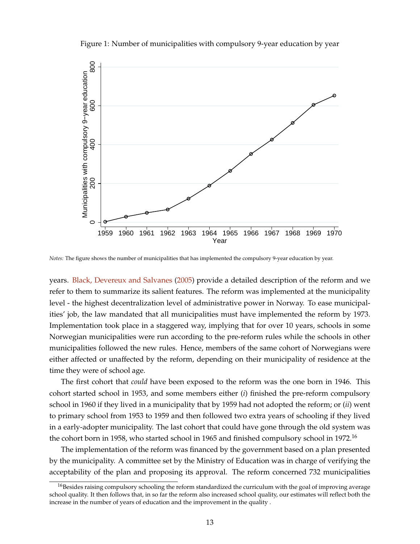<span id="page-14-0"></span>

Figure 1: Number of municipalities with compulsory 9-year education by year

*Notes:* The figure shows the number of municipalities that has implemented the compulsory 9-year education by year.

years. [Black, Devereux and Salvanes](#page-31-7) [\(2005\)](#page-31-7) provide a detailed description of the reform and we refer to them to summarize its salient features. The reform was implemented at the municipality level - the highest decentralization level of administrative power in Norway. To ease municipalities' job, the law mandated that all municipalities must have implemented the reform by 1973. Implementation took place in a staggered way, implying that for over 10 years, schools in some Norwegian municipalities were run according to the pre-reform rules while the schools in other municipalities followed the new rules. Hence, members of the same cohort of Norwegians were either affected or unaffected by the reform, depending on their municipality of residence at the time they were of school age.

The first cohort that *could* have been exposed to the reform was the one born in 1946. This cohort started school in 1953, and some members either (*i*) finished the pre-reform compulsory school in 1960 if they lived in a municipality that by 1959 had not adopted the reform; or (*ii*) went to primary school from 1953 to 1959 and then followed two extra years of schooling if they lived in a early-adopter municipality. The last cohort that could have gone through the old system was the cohort born in 1958, who started school in 1965 and finished compulsory school in 1972.<sup>16</sup>

The implementation of the reform was financed by the government based on a plan presented by the municipality. A committee set by the Ministry of Education was in charge of verifying the acceptability of the plan and proposing its approval. The reform concerned 732 municipalities

<sup>&</sup>lt;sup>16</sup>Besides raising compulsory schooling the reform standardized the curriculum with the goal of improving average school quality. It then follows that, in so far the reform also increased school quality, our estimates will reflect both the increase in the number of years of education and the improvement in the quality .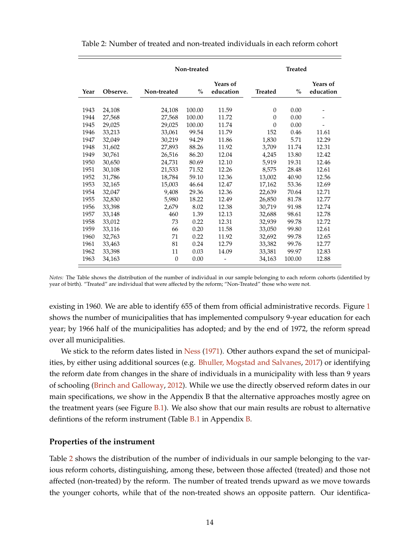|      |          |             | Non-treated   |                       |                |               | <b>Treated</b>        |  |  |  |
|------|----------|-------------|---------------|-----------------------|----------------|---------------|-----------------------|--|--|--|
| Year | Observe. | Non-treated | $\frac{0}{0}$ | Years of<br>education | <b>Treated</b> | $\frac{0}{0}$ | Years of<br>education |  |  |  |
| 1943 | 24,108   | 24,108      | 100.00        | 11.59                 | $\theta$       | 0.00          |                       |  |  |  |
| 1944 | 27,568   | 27,568      | 100.00        | 11.72                 | $\theta$       | 0.00          |                       |  |  |  |
| 1945 | 29,025   | 29,025      | 100.00        | 11.74                 | $\theta$       | 0.00          |                       |  |  |  |
| 1946 | 33,213   | 33,061      | 99.54         | 11.79                 | 152            | 0.46          | 11.61                 |  |  |  |
| 1947 | 32,049   | 30,219      | 94.29         | 11.86                 | 1,830          | 5.71          | 12.29                 |  |  |  |
| 1948 | 31,602   | 27,893      | 88.26         | 11.92                 | 3,709          | 11.74         | 12.31                 |  |  |  |
| 1949 | 30,761   | 26,516      | 86.20         | 12.04                 | 4,245          | 13.80         | 12.42                 |  |  |  |
| 1950 | 30,650   | 24,731      | 80.69         | 12.10                 | 5,919          | 19.31         | 12.46                 |  |  |  |
| 1951 | 30,108   | 21,533      | 71.52         | 12.26                 | 8,575          | 28.48         | 12.61                 |  |  |  |
| 1952 | 31,786   | 18,784      | 59.10         | 12.36                 | 13,002         | 40.90         | 12.56                 |  |  |  |
| 1953 | 32,165   | 15,003      | 46.64         | 12.47                 | 17,162         | 53.36         | 12.69                 |  |  |  |
| 1954 | 32,047   | 9,408       | 29.36         | 12.36                 | 22,639         | 70.64         | 12.71                 |  |  |  |
| 1955 | 32,830   | 5,980       | 18.22         | 12.49                 | 26,850         | 81.78         | 12.77                 |  |  |  |
| 1956 | 33,398   | 2,679       | 8.02          | 12.38                 | 30,719         | 91.98         | 12.74                 |  |  |  |
| 1957 | 33,148   | 460         | 1.39          | 12.13                 | 32,688         | 98.61         | 12.78                 |  |  |  |
| 1958 | 33,012   | 73          | 0.22          | 12.31                 | 32,939         | 99.78         | 12.72                 |  |  |  |
| 1959 | 33,116   | 66          | 0.20          | 11.58                 | 33,050         | 99.80         | 12.61                 |  |  |  |
| 1960 | 32,763   | 71          | 0.22          | 11.92                 | 32,692         | 99.78         | 12.65                 |  |  |  |
| 1961 | 33,463   | 81          | 0.24          | 12.79                 | 33,382         | 99.76         | 12.77                 |  |  |  |
| 1962 | 33,398   | 11          | 0.03          | 14.09                 | 33,381         | 99.97         | 12.83                 |  |  |  |
| 1963 | 34,163   | $\theta$    | 0.00          |                       | 34,163         | 100.00        | 12.88                 |  |  |  |

<span id="page-15-0"></span>Table 2: Number of treated and non-treated individuals in each reform cohort

*Notes:* The Table shows the distribution of the number of individual in our sample belonging to each reform cohorts (identified by year of birth). "Treated" are individual that were affected by the reform; "Non-Treated" those who were not.

existing in 1960. We are able to identify 655 of them from official administrative records. Figure [1](#page-14-0) shows the number of municipalities that has implemented compulsory 9-year education for each year; by 1966 half of the municipalities has adopted; and by the end of 1972, the reform spread over all municipalities.

We stick to the reform dates listed in [Ness](#page-33-16) [\(1971\)](#page-33-16). Other authors expand the set of municipalities, by either using additional sources (e.g. [Bhuller, Mogstad and Salvanes,](#page-31-6) [2017\)](#page-31-6) or identifying the reform date from changes in the share of individuals in a municipality with less than 9 years of schooling [\(Brinch and Galloway,](#page-32-10) [2012\)](#page-32-10). While we use the directly observed reform dates in our main specifications, we show in the Appendix B that the alternative approaches mostly agree on the treatment years (see Figure  $B.1$ ). We also show that our main results are robust to alternative defintions of the reform instrument (Table [B.1](#page-40-0) in Appendix [B.](#page-38-0)

#### **Properties of the instrument**

Table [2](#page-15-0) shows the distribution of the number of individuals in our sample belonging to the various reform cohorts, distinguishing, among these, between those affected (treated) and those not affected (non-treated) by the reform. The number of treated trends upward as we move towards the younger cohorts, while that of the non-treated shows an opposite pattern. Our identifica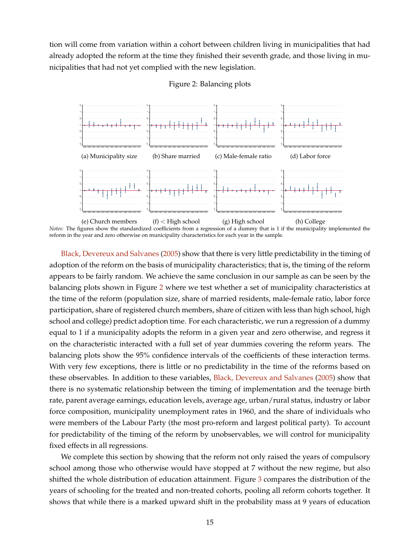<span id="page-16-0"></span>tion will come from variation within a cohort between children living in municipalities that had already adopted the reform at the time they finished their seventh grade, and those living in municipalities that had not yet complied with the new legislation.

#### Figure 2: Balancing plots



*Notes:* The figures show the standardized coefficients from a regression of a dummy that is 1 if the municipality implemented the reform in the year and zero otherwise on municipality characteristics for each year in the sample.

[Black, Devereux and Salvanes](#page-31-7) [\(2005\)](#page-31-7) show that there is very little predictability in the timing of adoption of the reform on the basis of municipality characteristics; that is, the timing of the reform appears to be fairly random. We achieve the same conclusion in our sample as can be seen by the balancing plots shown in Figure [2](#page-16-0) where we test whether a set of municipality characteristics at the time of the reform (population size, share of married residents, male-female ratio, labor force participation, share of registered church members, share of citizen with less than high school, high school and college) predict adoption time. For each characteristic, we run a regression of a dummy equal to 1 if a municipality adopts the reform in a given year and zero otherwise, and regress it on the characteristic interacted with a full set of year dummies covering the reform years. The balancing plots show the 95% confidence intervals of the coefficients of these interaction terms. With very few exceptions, there is little or no predictability in the time of the reforms based on these observables. In addition to these variables, [Black, Devereux and Salvanes](#page-31-7) [\(2005\)](#page-31-7) show that there is no systematic relationship between the timing of implementation and the teenage birth rate, parent average earnings, education levels, average age, urban/rural status, industry or labor force composition, municipality unemployment rates in 1960, and the share of individuals who were members of the Labour Party (the most pro-reform and largest political party). To account for predictability of the timing of the reform by unobservables, we will control for municipality fixed effects in all regressions.

We complete this section by showing that the reform not only raised the years of compulsory school among those who otherwise would have stopped at 7 without the new regime, but also shifted the whole distribution of education attainment. Figure [3](#page-17-0) compares the distribution of the years of schooling for the treated and non-treated cohorts, pooling all reform cohorts together. It shows that while there is a marked upward shift in the probability mass at 9 years of education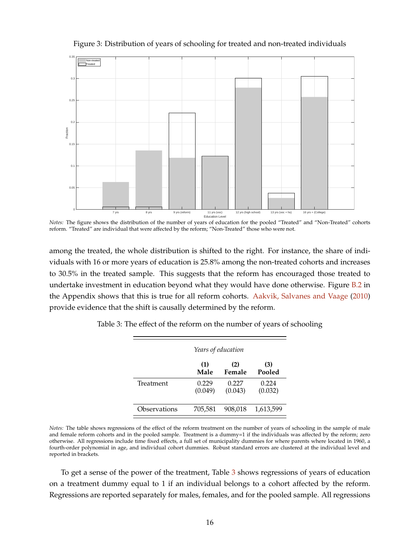<span id="page-17-0"></span>

Figure 3: Distribution of years of schooling for treated and non-treated individuals

*Notes:* The figure shows the distribution of the number of years of education for the pooled "Treated" and "Non-Treated" cohorts reform. "Treated" are individual that were affected by the reform; "Non-Treated" those who were not.

among the treated, the whole distribution is shifted to the right. For instance, the share of individuals with 16 or more years of education is 25.8% among the non-treated cohorts and increases to 30.5% in the treated sample. This suggests that the reform has encouraged those treated to undertake investment in education beyond what they would have done otherwise. Figure [B.2](#page-40-1) in the Appendix shows that this is true for all reform cohorts. [Aakvik, Salvanes and Vaage](#page-31-5) [\(2010\)](#page-31-5) provide evidence that the shift is causally determined by the reform.

|              | Years of education |         |           |  |  |  |
|--------------|--------------------|---------|-----------|--|--|--|
|              | (1)                | (2)     | (3)       |  |  |  |
|              | Male               | Female  | Pooled    |  |  |  |
| Treatment    | 0.229              | 0.227   | 0.224     |  |  |  |
|              | (0.049)            | (0.043) | (0.032)   |  |  |  |
| Observations | 705,581            | 908.018 | 1,613,599 |  |  |  |

<span id="page-17-1"></span>Table 3: The effect of the reform on the number of years of schooling

*Notes:* The table shows regressions of the effect of the reform treatment on the number of years of schooling in the sample of male and female reform cohorts and in the pooled sample. Treatment is a dummy=1 if the individuals was affected by the reform; zero otherwise. All regressions include time fixed effects, a full set of municipality dummies for where parents where located in 1960, a fourth-order polynomial in age, and individual cohort dummies. Robust standard errors are clustered at the individual level and reported in brackets.

To get a sense of the power of the treatment, Table [3](#page-17-1) shows regressions of years of education on a treatment dummy equal to 1 if an individual belongs to a cohort affected by the reform. Regressions are reported separately for males, females, and for the pooled sample. All regressions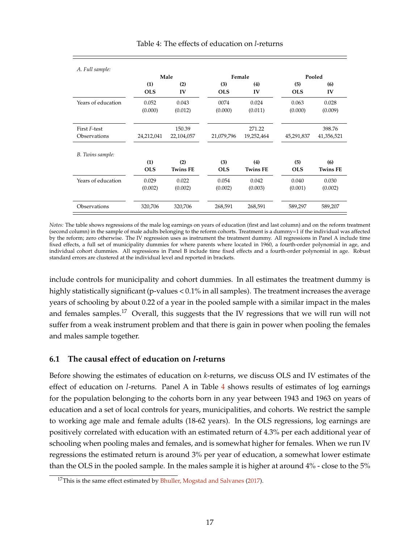<span id="page-18-0"></span>

| A. Full sample:    |                   |                  |                   |                  |                   |                  |
|--------------------|-------------------|------------------|-------------------|------------------|-------------------|------------------|
|                    |                   | Male             |                   | Female           |                   | Pooled           |
|                    | (1)<br><b>OLS</b> | (2)<br>IV        | (3)<br><b>OLS</b> | (4)<br>IV        | (5)<br><b>OLS</b> | (6)<br>IV        |
| Years of education | 0.052<br>(0.000)  | 0.043<br>(0.012) | 0074<br>(0.000)   | 0.024<br>(0.011) | 0.063<br>(0.000)  | 0.028<br>(0.009) |
| First F-test       |                   | 150.39           |                   | 271.22           |                   | 398.76           |
| Observations       | 24,212,041        | 22,104,057       | 21,079,796        | 19,252,464       | 45,291,837        | 41,356,521       |
| B. Twins sample:   | (1)               | (2)              | (3)               | (4)              | (5)               | (6)              |
|                    | <b>OLS</b>        | <b>Twins FE</b>  | <b>OLS</b>        | <b>Twins FE</b>  | <b>OLS</b>        | <b>Twins FE</b>  |
| Years of education | 0.029<br>(0.002)  | 0.022<br>(0.002) | 0.054<br>(0.002)  | 0.042<br>(0.003) | 0.040<br>(0.001)  | 0.030<br>(0.002) |
| Observations       | 320,706           | 320,706          | 268,591           | 268,591          | 589,297           | 589,207          |

Table 4: The effects of education on *l*-returns

*Notes:* The table shows regressions of the male log earnings on years of education (first and last column) and on the reform treatment (second column) in the sample of male adults belonging to the reform cohorts. Treatment is a dummy=1 if the individual was affected by the reform; zero otherwise. The IV regression uses as instrument the treatment dummy. All regressions in Panel A include time fixed effects, a full set of municipality dummies for where parents where located in 1960, a fourth-order polynomial in age, and individual cohort dummies. All regressions in Panel B include time fixed effects and a fourth-order polynomial in age. Robust standard errors are clustered at the individual level and reported in brackets.

include controls for municipality and cohort dummies. In all estimates the treatment dummy is highly statistically significant (p-values < 0.1% in all samples). The treatment increases the average years of schooling by about 0.22 of a year in the pooled sample with a similar impact in the males and females samples.<sup>17</sup> Overall, this suggests that the IV regressions that we will run will not suffer from a weak instrument problem and that there is gain in power when pooling the females and males sample together.

## **6.1 The causal effect of education on** *l***-returns**

Before showing the estimates of education on *k*-returns, we discuss OLS and IV estimates of the effect of education on *l*-returns. Panel A in Table [4](#page-18-0) shows results of estimates of log earnings for the population belonging to the cohorts born in any year between 1943 and 1963 on years of education and a set of local controls for years, municipalities, and cohorts. We restrict the sample to working age male and female adults (18-62 years). In the OLS regressions, log earnings are positively correlated with education with an estimated return of 4.3% per each additional year of schooling when pooling males and females, and is somewhat higher for females. When we run IV regressions the estimated return is around 3% per year of education, a somewhat lower estimate than the OLS in the pooled sample. In the males sample it is higher at around 4% - close to the 5%

 $17$ This is the same effect estimated by [Bhuller, Mogstad and Salvanes](#page-31-6) [\(2017\)](#page-31-6).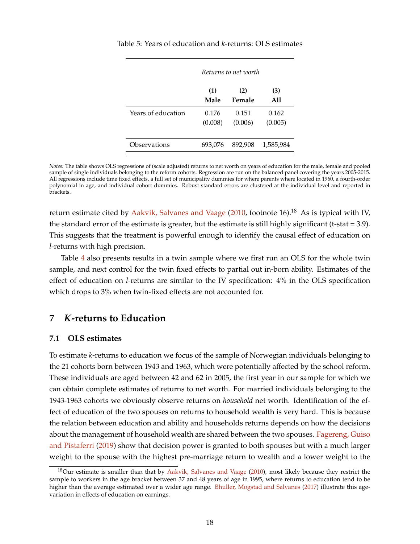|                    | Returns to net worth |         |           |  |  |  |
|--------------------|----------------------|---------|-----------|--|--|--|
|                    | (1)                  | (2)     | (3)       |  |  |  |
|                    | Male                 | Female  | All       |  |  |  |
| Years of education | 0.176                | 0.151   | 0.162     |  |  |  |
|                    | (0.008)              | (0.006) | (0.005)   |  |  |  |
| Observations       | 693,076              | 892,908 | 1,585,984 |  |  |  |

<span id="page-19-1"></span>Table 5: Years of education and *k*-returns: OLS estimates

*Notes:* The table shows OLS regressions of (scale adjusted) returns to net worth on years of education for the male, female and pooled sample of single individuals belonging to the reform cohorts. Regression are run on the balanced panel covering the years 2005-2015. All regressions include time fixed effects, a full set of municipality dummies for where parents where located in 1960, a fourth-order polynomial in age, and individual cohort dummies. Robust standard errors are clustered at the individual level and reported in brackets.

return estimate cited by [Aakvik, Salvanes and Vaage](#page-31-5) [\(2010,](#page-31-5) footnote 16).<sup>18</sup> As is typical with IV, the standard error of the estimate is greater, but the estimate is still highly significant (t-stat  $= 3.9$ ). This suggests that the treatment is powerful enough to identify the causal effect of education on *l*-returns with high precision.

Table [4](#page-18-0) also presents results in a twin sample where we first run an OLS for the whole twin sample, and next control for the twin fixed effects to partial out in-born ability. Estimates of the effect of education on *l-*returns are similar to the IV specification: 4% in the OLS specification which drops to 3% when twin-fixed effects are not accounted for.

## <span id="page-19-0"></span>**7** *K***-returns to Education**

#### **7.1 OLS estimates**

To estimate *k*-returns to education we focus of the sample of Norwegian individuals belonging to the 21 cohorts born between 1943 and 1963, which were potentially affected by the school reform. These individuals are aged between 42 and 62 in 2005, the first year in our sample for which we can obtain complete estimates of returns to net worth. For married individuals belonging to the 1943-1963 cohorts we obviously observe returns on *household* net worth. Identification of the effect of education of the two spouses on returns to household wealth is very hard. This is because the relation between education and ability and households returns depends on how the decisions about the management of household wealth are shared between the two spouses. [Fagereng, Guiso](#page-32-11) [and Pistaferri](#page-32-11) [\(2019\)](#page-32-11) show that decision power is granted to both spouses but with a much larger weight to the spouse with the highest pre-marriage return to wealth and a lower weight to the

 $18$ Our estimate is smaller than that by [Aakvik, Salvanes and Vaage](#page-31-5) [\(2010\)](#page-31-5), most likely because they restrict the sample to workers in the age bracket between 37 and 48 years of age in 1995, where returns to education tend to be higher than the average estimated over a wider age range. [Bhuller, Mogstad and Salvanes](#page-31-6) [\(2017\)](#page-31-6) illustrate this agevariation in effects of education on earnings.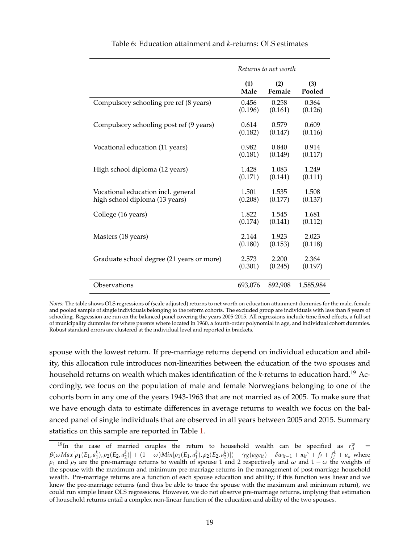<span id="page-20-0"></span>

|                                           | Returns to net worth |         |           |  |
|-------------------------------------------|----------------------|---------|-----------|--|
|                                           | (1)                  | (2)     | (3)       |  |
|                                           | Male                 | Female  | Pooled    |  |
| Compulsory schooling pre ref (8 years)    | 0.456                | 0.258   | 0.364     |  |
|                                           | (0.196)              | (0.161) | (0.126)   |  |
| Compulsory schooling post ref (9 years)   | 0.614                | 0.579   | 0.609     |  |
|                                           | (0.182)              | (0.147) | (0.116)   |  |
| Vocational education (11 years)           | 0.982                | 0.840   | 0.914     |  |
|                                           | (0.181)              | (0.149) | (0.117)   |  |
| High school diploma (12 years)            | 1.428                | 1.083   | 1.249     |  |
|                                           | (0.171)              | (0.141) | (0.111)   |  |
| Vocational education incl. general        | 1.501                | 1.535   | 1.508     |  |
| high school diploma (13 years)            | (0.208)              | (0.177) | (0.137)   |  |
| College (16 years)                        | 1.822                | 1.545   | 1.681     |  |
|                                           | (0.174)              | (0.141) | (0.112)   |  |
| Masters (18 years)                        | 2.144                | 1.923   | 2.023     |  |
|                                           | (0.180)              | (0.153) | (0.118)   |  |
| Graduate school degree (21 years or more) | 2.573                | 2.200   | 2.364     |  |
|                                           | (0.301)              | (0.245) | (0.197)   |  |
| Observations                              | 693,076              | 892,908 | 1,585,984 |  |

#### Table 6: Education attainment and *k*-returns: OLS estimates

*Notes:* The table shows OLS regressions of (scale adjusted) returns to net worth on education attainment dummies for the male, female and pooled sample of single individuals belonging to the reform cohorts. The excluded group are individuals with less than 8 years of schooling. Regression are run on the balanced panel covering the years 2005-2015. All regressions include time fixed effects, a full set of municipality dummies for where parents where located in 1960, a fourth-order polynomial in age, and individual cohort dummies. Robust standard errors are clustered at the individual level and reported in brackets.

spouse with the lowest return. If pre-marriage returns depend on individual education and ability, this allocation rule introduces non-linearities between the education of the two spouses and household returns on wealth which makes identification of the *k*-returns to education hard.<sup>19</sup> Accordingly, we focus on the population of male and female Norwegians belonging to one of the cohorts born in any one of the years 1943-1963 that are not married as of 2005. To make sure that we have enough data to estimate differences in average returns to wealth we focus on the balanced panel of single individuals that are observed in all years between 2005 and 2015. Summary statistics on this sample are reported in Table [1.](#page-13-1)

<sup>&</sup>lt;sup>19</sup>In the case of married couples the return to household wealth can be specified as  $r_{it}^w$  =  $\beta(\omega Max[\rho_1(E_1, a_1^k), \rho_2(E_2, a_2^k)] + (1 - \omega)Min[\rho_1(E_1, a_1^k), \rho_2(E_2, a_2^k)]) + \gamma g(ag_1e_1) + \delta w_{it-1} + \mathbf{x}_{it} + f_t + f_t^k + u_{it}$  where *ρ*<sub>1</sub> and *ρ*<sub>2</sub> are the pre-marriage returns to wealth of spouse 1 and 2 respectively and  $\omega$  and  $1 - \omega$  the weights of the spouse with the maximum and minimum pre-marriage returns in the management of post-marriage household wealth. Pre-marriage returns are a function of each spouse education and ability; if this function was linear and we knew the pre-marriage returns (and thus be able to trace the spouse with the maximum and minimum return), we could run simple linear OLS regressions. However, we do not observe pre-marriage returns, implying that estimation of household returns entail a complex non-linear function of the education and ability of the two spouses.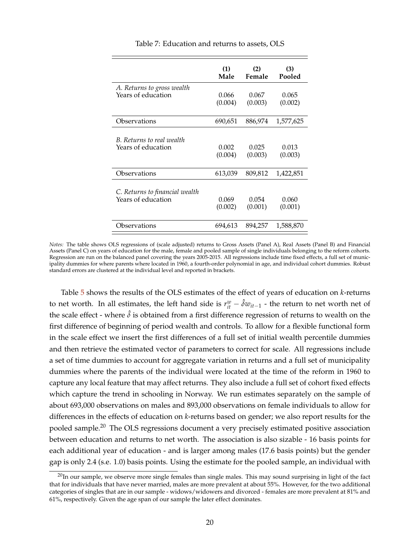<span id="page-21-0"></span>

|                                                      | (1)<br>Male      | (2)<br>Female    | (3)<br>Pooled    |
|------------------------------------------------------|------------------|------------------|------------------|
| A. Returns to gross wealth<br>Years of education     | 0.066            | 0.067            | 0.065            |
|                                                      | (0.004)          | (0.003)          | (0.002)          |
| Observations                                         | 690,651          | 886,974          | 1,577,625        |
| B. Returns to real wealth<br>Years of education      | 0.002<br>(0.004) | 0.025<br>(0.003) | 0.013<br>(0.003) |
| Observations                                         | 613,039          | 809,812          | 1,422,851        |
| C. Returns to financial wealth<br>Years of education | 0.069<br>(0.002) | 0.054<br>(0.001) | 0.060<br>(0.001) |
| Observations                                         | 694,613          | 894,257          | 1,588,870        |

Table 7: Education and returns to assets, OLS

Table [5](#page-19-1) shows the results of the OLS estimates of the effect of years of education on *k*-returns to net worth. In all estimates, the left hand side is  $r_{it}^w - \hat{\delta}w_{it-1}$  - the return to net worth net of the scale effect - where  $\hat{\delta}$  is obtained from a first difference regression of returns to wealth on the first difference of beginning of period wealth and controls. To allow for a flexible functional form in the scale effect we insert the first differences of a full set of initial wealth percentile dummies and then retrieve the estimated vector of parameters to correct for scale. All regressions include a set of time dummies to account for aggregate variation in returns and a full set of municipality dummies where the parents of the individual were located at the time of the reform in 1960 to capture any local feature that may affect returns. They also include a full set of cohort fixed effects which capture the trend in schooling in Norway. We run estimates separately on the sample of about 693,000 observations on males and 893,000 observations on female individuals to allow for differences in the effects of education on *k*-returns based on gender; we also report results for the pooled sample.<sup>20</sup> The OLS regressions document a very precisely estimated positive association between education and returns to net worth. The association is also sizable - 16 basis points for each additional year of education - and is larger among males (17.6 basis points) but the gender gap is only 2.4 (s.e. 1.0) basis points. Using the estimate for the pooled sample, an individual with

*Notes:* The table shows OLS regressions of (scale adjusted) returns to Gross Assets (Panel A), Real Assets (Panel B) and Financial Assets (Panel C) on years of education for the male, female and pooled sample of single individuals belonging to the reform cohorts. Regression are run on the balanced panel covering the years 2005-2015. All regressions include time fixed effects, a full set of municipality dummies for where parents where located in 1960, a fourth-order polynomial in age, and individual cohort dummies. Robust standard errors are clustered at the individual level and reported in brackets.

 $^{20}$ In our sample, we observe more single females than single males. This may sound surprising in light of the fact that for individuals that have never married, males are more prevalent at about 55%. However, for the two additional categories of singles that are in our sample - widows/widowers and divorced - females are more prevalent at 81% and 61%, respectively. Given the age span of our sample the later effect dominates.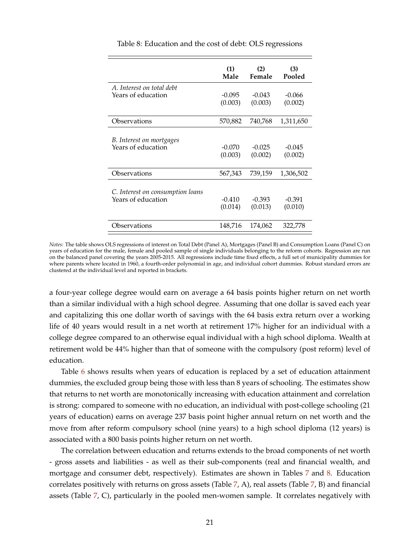<span id="page-22-0"></span>

|                                                        | (1)<br>Male         | (2)<br>Female       | (3)<br>Pooled       |
|--------------------------------------------------------|---------------------|---------------------|---------------------|
| A. Interest on total debt<br>Years of education        | $-0.095$            | $-0.043$            | $-0.066$            |
|                                                        | (0.003)             | (0.003)             | (0.002)             |
| Observations                                           | 570,882             | 740,768             | 1,311,650           |
| B. Interest on mortgages<br>Years of education         | $-0.070$<br>(0.003) | $-0.025$<br>(0.002) | $-0.045$<br>(0.002) |
| Observations                                           | 567,343             | 739,159             | 1,306,502           |
| C. Interest on consumption loans<br>Years of education | $-0.410$<br>(0.014) | $-0.393$<br>(0.013) | $-0.391$<br>(0.010) |
| Observations                                           | 148,716             | 174,062             | 322,778             |

Table 8: Education and the cost of debt: OLS regressions

*Notes:* The table shows OLS regressions of interest on Total Debt (Panel A), Mortgages (Panel B) and Consumption Loans (Panel C) on years of education for the male, female and pooled sample of single individuals belonging to the reform cohorts. Regression are run on the balanced panel covering the years 2005-2015. All regressions include time fixed effects, a full set of municipality dummies for where parents where located in 1960, a fourth-order polynomial in age, and individual cohort dummies. Robust standard errors are clustered at the individual level and reported in brackets.

a four-year college degree would earn on average a 64 basis points higher return on net worth than a similar individual with a high school degree. Assuming that one dollar is saved each year and capitalizing this one dollar worth of savings with the 64 basis extra return over a working life of 40 years would result in a net worth at retirement 17% higher for an individual with a college degree compared to an otherwise equal individual with a high school diploma. Wealth at retirement wold be 44% higher than that of someone with the compulsory (post reform) level of education.

Table [6](#page-20-0) shows results when years of education is replaced by a set of education attainment dummies, the excluded group being those with less than 8 years of schooling. The estimates show that returns to net worth are monotonically increasing with education attainment and correlation is strong: compared to someone with no education, an individual with post-college schooling (21 years of education) earns on average 237 basis point higher annual return on net worth and the move from after reform compulsory school (nine years) to a high school diploma (12 years) is associated with a 800 basis points higher return on net worth.

The correlation between education and returns extends to the broad components of net worth - gross assets and liabilities - as well as their sub-components (real and financial wealth, and mortgage and consumer debt, respectively). Estimates are shown in Tables [7](#page-21-0) and [8.](#page-22-0) Education correlates positively with returns on gross assets (Table [7,](#page-21-0) A), real assets (Table [7,](#page-21-0) B) and financial assets (Table [7,](#page-21-0) C), particularly in the pooled men-women sample. It correlates negatively with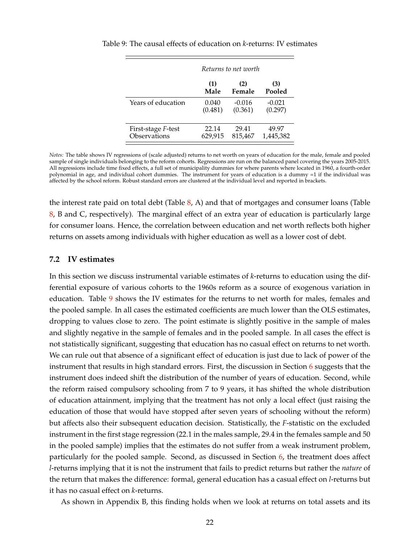|                    | Returns to net worth |          |           |
|--------------------|----------------------|----------|-----------|
|                    | (1)                  | (2)      | (3)       |
|                    | Male                 | Female   | Pooled    |
| Years of education | 0.040                | $-0.016$ | $-0.021$  |
|                    | (0.481)              | (0.361)  | (0.297)   |
| First-stage F-test | 22.14                | 29.41    | 49.97     |
| Observations       | 629,915              | 815,467  | 1,445,382 |

<span id="page-23-0"></span>Table 9: The causal effects of education on *k*-returns: IV estimates

*Notes:* The table shows IV regressions of (scale adjusted) returns to net worth on years of education for the male, female and pooled sample of single individuals belonging to the reform cohorts. Regressions are run on the balanced panel covering the years 2005-2015. All regressions include time fixed effects, a full set of municipality dummies for where parents where located in 1960, a fourth-order polynomial in age, and individual cohort dummies. The instrument for years of education is a dummy =1 if the individual was affected by the school reform. Robust standard errors are clustered at the individual level and reported in brackets.

the interest rate paid on total debt (Table [8,](#page-22-0) A) and that of mortgages and consumer loans (Table [8,](#page-22-0) B and C, respectively). The marginal effect of an extra year of education is particularly large for consumer loans. Hence, the correlation between education and net worth reflects both higher returns on assets among individuals with higher education as well as a lower cost of debt.

#### **7.2 IV estimates**

In this section we discuss instrumental variable estimates of *k*-returns to education using the differential exposure of various cohorts to the 1960s reform as a source of exogenous variation in education. Table [9](#page-23-0) shows the IV estimates for the returns to net worth for males, females and the pooled sample. In all cases the estimated coefficients are much lower than the OLS estimates, dropping to values close to zero. The point estimate is slightly positive in the sample of males and slightly negative in the sample of females and in the pooled sample. In all cases the effect is not statistically significant, suggesting that education has no casual effect on returns to net worth. We can rule out that absence of a significant effect of education is just due to lack of power of the instrument that results in high standard errors. First, the discussion in Section [6](#page-13-0) suggests that the instrument does indeed shift the distribution of the number of years of education. Second, while the reform raised compulsory schooling from 7 to 9 years, it has shifted the whole distribution of education attainment, implying that the treatment has not only a local effect (just raising the education of those that would have stopped after seven years of schooling without the reform) but affects also their subsequent education decision. Statistically, the *F*-statistic on the excluded instrument in the first stage regression (22.1 in the males sample, 29.4 in the females sample and 50 in the pooled sample) implies that the estimates do not suffer from a weak instrument problem, particularly for the pooled sample. Second, as discussed in Section [6,](#page-13-0) the treatment does affect *l*-returns implying that it is not the instrument that fails to predict returns but rather the *nature* of the return that makes the difference: formal, general education has a casual effect on *l*-returns but it has no casual effect on *k*-returns.

As shown in Appendix B, this finding holds when we look at returns on total assets and its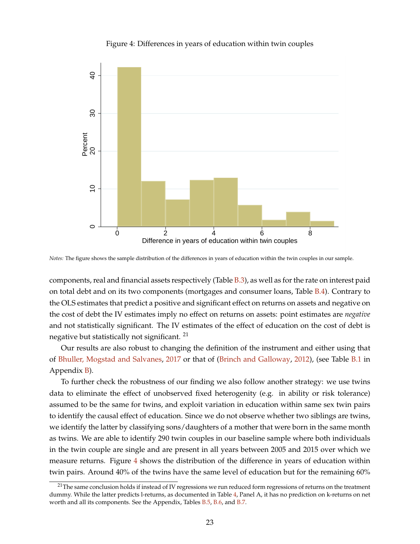#### Figure 4: Differences in years of education within twin couples

<span id="page-24-0"></span>

*Notes:* The figure shows the sample distribution of the differences in years of education within the twin couples in our sample.

components, real and financial assets respectively (Table [B.3\)](#page-42-0), as well as for the rate on interest paid on total debt and on its two components (mortgages and consumer loans, Table [B.4\)](#page-43-0). Contrary to the OLS estimates that predict a positive and significant effect on returns on assets and negative on the cost of debt the IV estimates imply no effect on returns on assets: point estimates are *negative* and not statistically significant. The IV estimates of the effect of education on the cost of debt is negative but statistically not significant.<sup>21</sup>

Our results are also robust to changing the definition of the instrument and either using that of [Bhuller, Mogstad and Salvanes,](#page-31-6) [2017](#page-31-6) or that of [\(Brinch and Galloway,](#page-32-10) [2012\)](#page-32-10), (see Table [B.1](#page-40-0) in Appendix [B\)](#page-38-0).

To further check the robustness of our finding we also follow another strategy: we use twins data to eliminate the effect of unobserved fixed heterogenity (e.g. in ability or risk tolerance) assumed to be the same for twins, and exploit variation in education within same sex twin pairs to identify the causal effect of education. Since we do not observe whether two siblings are twins, we identify the latter by classifying sons/daughters of a mother that were born in the same month as twins. We are able to identify 290 twin couples in our baseline sample where both individuals in the twin couple are single and are present in all years between 2005 and 2015 over which we measure returns. Figure [4](#page-24-0) shows the distribution of the difference in years of education within twin pairs. Around 40% of the twins have the same level of education but for the remaining 60%

<sup>&</sup>lt;sup>21</sup>The same conclusion holds if instead of IV regressions we run reduced form regressions of returns on the treatment dummy. While the latter predicts l-returns, as documented in Table [4,](#page-18-0) Panel A, it has no prediction on k-returns on net worth and all its components. See the Appendix, Tables [B.5,](#page-43-1) [B.6,](#page-44-0) and [B.7.](#page-45-0)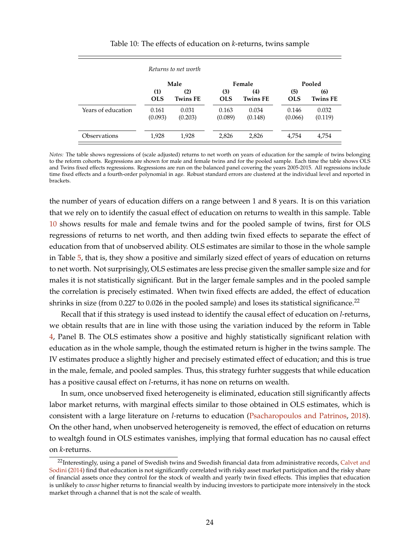| Table 10: The effects of education on k-returns, twins sample |  |  |  |  |  |
|---------------------------------------------------------------|--|--|--|--|--|
|---------------------------------------------------------------|--|--|--|--|--|

<span id="page-25-0"></span>

|                    |                   | Returns to net worth   |                   |                        |                   |                        |
|--------------------|-------------------|------------------------|-------------------|------------------------|-------------------|------------------------|
|                    |                   | Male                   |                   | <b>Female</b>          | Pooled            |                        |
|                    | (1)<br><b>OLS</b> | (2)<br><b>Twins FE</b> | (3)<br><b>OLS</b> | (4)<br><b>Twins FE</b> | (5)<br><b>OLS</b> | (6)<br><b>Twins FE</b> |
| Years of education | 0.161<br>(0.093)  | 0.031<br>(0.203)       | 0.163<br>(0.089)  | 0.034<br>(0.148)       | 0.146<br>(0.066)  | 0.032<br>(0.119)       |
| Observations       | 1,928             | 1,928                  | 2,826             | 2,826                  | 4,754             | 4,754                  |

*Notes:* The table shows regressions of (scale adjusted) returns to net worth on years of education for the sample of twins belonging to the reform cohorts. Regressions are shown for male and female twins and for the pooled sample. Each time the table shows OLS and Twins fixed effects regressions. Regressions are run on the balanced panel covering the years 2005-2015. All regressions include time fixed effects and a fourth-order polynomial in age. Robust standard errors are clustered at the individual level and reported in brackets.

the number of years of education differs on a range between 1 and 8 years. It is on this variation that we rely on to identify the casual effect of education on returns to wealth in this sample. Table [10](#page-25-0) shows results for male and female twins and for the pooled sample of twins, first for OLS regressions of returns to net worth, and then adding twin fixed effects to separate the effect of education from that of unobserved ability. OLS estimates are similar to those in the whole sample in Table [5,](#page-19-1) that is, they show a positive and similarly sized effect of years of education on returns to net worth. Not surprisingly, OLS estimates are less precise given the smaller sample size and for males it is not statistically significant. But in the larger female samples and in the pooled sample the correlation is precisely estimated. When twin fixed effects are added, the effect of education shrinks in size (from 0.227 to 0.026 in the pooled sample) and loses its statistical significance.<sup>22</sup>

Recall that if this strategy is used instead to identify the causal effect of education on *l*-returns, we obtain results that are in line with those using the variation induced by the reform in Table [4,](#page-18-0) Panel B. The OLS estimates show a positive and highly statistically significant relation with education as in the whole sample, though the estimated return is higher in the twins sample. The IV estimates produce a slightly higher and precisely estimated effect of education; and this is true in the male, female, and pooled samples. Thus, this strategy furhter suggests that while education has a positive causal effect on *l*-returns, it has none on returns on wealth.

In sum, once unobserved fixed heterogeneity is eliminated, education still significantly affects labor market returns, with marginal effects similar to those obtained in OLS estimates, which is consistent with a large literature on *l-*returns to education [\(Psacharopoulos and Patrinos,](#page-33-5) [2018\)](#page-33-5). On the other hand, when unobserved heterogeneity is removed, the effect of education on returns to wealtgh found in OLS estimates vanishes, implying that formal education has no causal effect on *k*-returns.

<sup>&</sup>lt;sup>22</sup>Interestingly, using a panel of Swedish twins and Swedish financial data from administrative records, [Calvet and](#page-32-12) [Sodini](#page-32-12) [\(2014\)](#page-32-12) find that education is not significantly correlated with risky asset market participation and the risky share of financial assets once they control for the stock of wealth and yearly twin fixed effects. This implies that education is unlikely to *cause* higher returns to financial wealth by inducing investors to participate more intensively in the stock market through a channel that is not the scale of wealth.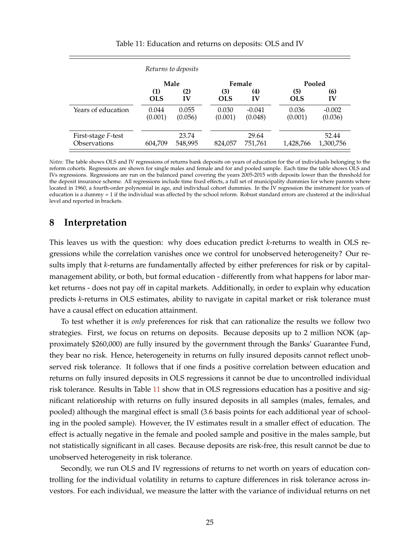<span id="page-26-1"></span>

|                                           |                   | Returns to deposits |                   |                     |                   |                     |
|-------------------------------------------|-------------------|---------------------|-------------------|---------------------|-------------------|---------------------|
|                                           | Male              |                     | Female            |                     | Pooled            |                     |
|                                           | (1)<br><b>OLS</b> | (2)<br>IV           | (3)<br><b>OLS</b> | (4)<br>IV           | (5)<br><b>OLS</b> | (6)<br>IV           |
| Years of education                        | 0.044<br>(0.001)  | 0.055<br>(0.056)    | 0.030<br>(0.001)  | $-0.041$<br>(0.048) | 0.036<br>(0.001)  | $-0.002$<br>(0.036) |
| First-stage F-test<br><b>Observations</b> | 604,709           | 23.74<br>548,995    | 824,057           | 29.64<br>751,761    | 1,428,766         | 52.44<br>1,300,756  |

Table 11: Education and returns on deposits: OLS and IV

*Notes:* The table shows OLS and IV regressions of returns bank deposits on years of education for the of individuals belonging to the reform cohorts. Regressions are shown for single males and female and for and pooled sample. Each time the table shows OLS and IVs regressions. Regressions are run on the balanced panel covering the years 2005-2015 with deposits lower than the threshold for the deposit insurance scheme. All regressions include time fixed effects, a full set of municipality dummies for where parents where located in 1960, a fourth-order polynomial in age, and individual cohort dummies. In the IV regression the instrument for years of education is a dummy = 1 if the individual was affected by the school reform. Robust standard errors are clustered at the individual level and reported in brackets.

## <span id="page-26-0"></span>**8 Interpretation**

This leaves us with the question: why does education predict *k*-returns to wealth in OLS regressions while the correlation vanishes once we control for unobserved heterogeneity? Our results imply that *k*-returns are fundamentally affected by either preferences for risk or by capitalmanagement ability, or both, but formal education - differently from what happens for labor market returns - does not pay off in capital markets. Additionally, in order to explain why education predicts *k*-returns in OLS estimates, ability to navigate in capital market or risk tolerance must have a causal effect on education attainment.

To test whether it is *only* preferences for risk that can rationalize the results we follow two strategies. First, we focus on returns on deposits. Because deposits up to 2 million NOK (approximately \$260,000) are fully insured by the government through the Banks' Guarantee Fund, they bear no risk. Hence, heterogeneity in returns on fully insured deposits cannot reflect unobserved risk tolerance. It follows that if one finds a positive correlation between education and returns on fully insured deposits in OLS regressions it cannot be due to uncontrolled individual risk tolerance. Results in Table [11](#page-26-1) show that in OLS regressions education has a positive and significant relationship with returns on fully insured deposits in all samples (males, females, and pooled) although the marginal effect is small (3.6 basis points for each additional year of schooling in the pooled sample). However, the IV estimates result in a smaller effect of education. The effect is actually negative in the female and pooled sample and positive in the males sample, but not statistically significant in all cases. Because deposits are risk-free, this result cannot be due to unobserved heterogeneity in risk tolerance.

Secondly, we run OLS and IV regressions of returns to net worth on years of education controlling for the individual volatility in returns to capture differences in risk tolerance across investors. For each individual, we measure the latter with the variance of individual returns on net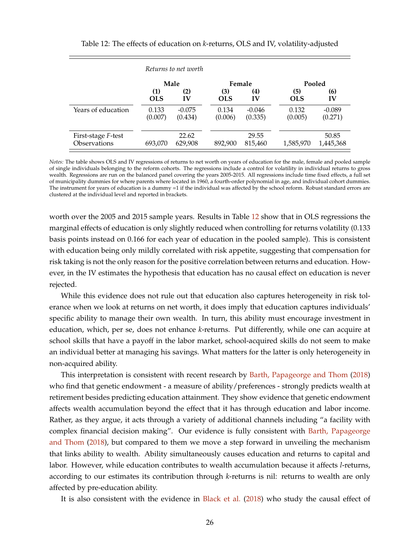<span id="page-27-0"></span>

|                                    |                   | Returns to net worth |                   |                     |                   |                     |
|------------------------------------|-------------------|----------------------|-------------------|---------------------|-------------------|---------------------|
|                                    |                   | Male                 |                   | Female              |                   | Pooled              |
|                                    | (1)<br><b>OLS</b> | (2)<br>IV            | (3)<br><b>OLS</b> | (4)<br>IV           | (5)<br><b>OLS</b> | (6)<br>IV           |
| Years of education                 | 0.133<br>(0.007)  | $-0.075$<br>(0.434)  | 0.134<br>(0.006)  | $-0.046$<br>(0.335) | 0.132<br>(0.005)  | $-0.089$<br>(0.271) |
| First-stage F-test<br>Observations | 693,070           | 22.62<br>629,908     | 892,900           | 29.55<br>815,460    | 1,585,970         | 50.85<br>1,445,368  |

Table 12: The effects of education on *k*-returns, OLS and IV, volatility-adjusted

*Notes:* The table shows OLS and IV regressions of returns to net worth on years of education for the male, female and pooled sample of single individuals belonging to the reform cohorts. The regressions include a control for volatility in individual returns to gross wealth. Regressions are run on the balanced panel covering the years 2005-2015. All regressions include time fixed effects, a full set of municipality dummies for where parents where located in 1960, a fourth-order polynomial in age, and individual cohort dummies. The instrument for years of education is a dummy =1 if the individual was affected by the school reform. Robust standard errors are clustered at the individual level and reported in brackets.

worth over the 2005 and 2015 sample years. Results in Table [12](#page-27-0) show that in OLS regressions the marginal effects of education is only slightly reduced when controlling for returns volatility (0.133 basis points instead on 0.166 for each year of education in the pooled sample). This is consistent with education being only mildly correlated with risk appetite, suggesting that compensation for risk taking is not the only reason for the positive correlation between returns and education. However, in the IV estimates the hypothesis that education has no causal effect on education is never rejected.

While this evidence does not rule out that education also captures heterogeneity in risk tolerance when we look at returns on net worth, it does imply that education captures individuals' specific ability to manage their own wealth. In turn, this ability must encourage investment in education, which, per se, does not enhance *k*-returns. Put differently, while one can acquire at school skills that have a payoff in the labor market, school-acquired skills do not seem to make an individual better at managing his savings. What matters for the latter is only heterogeneity in non-acquired ability.

This interpretation is consistent with recent research by [Barth, Papageorge and Thom](#page-31-11) [\(2018\)](#page-31-11) who find that genetic endowment - a measure of ability/preferences - strongly predicts wealth at retirement besides predicting education attainment. They show evidence that genetic endowment affects wealth accumulation beyond the effect that it has through education and labor income. Rather, as they argue, it acts through a variety of additional channels including "a facility with complex financial decision making". Our evidence is fully consistent with [Barth, Papageorge](#page-31-11) [and Thom](#page-31-11) [\(2018\)](#page-31-11), but compared to them we move a step forward in unveiling the mechanism that links ability to wealth. Ability simultaneously causes education and returns to capital and labor. However, while education contributes to wealth accumulation because it affects *l*-returns, according to our estimates its contribution through *k*-returns is nil: returns to wealth are only affected by pre-education ability.

It is also consistent with the evidence in [Black et al.](#page-31-14) [\(2018\)](#page-31-14) who study the causal effect of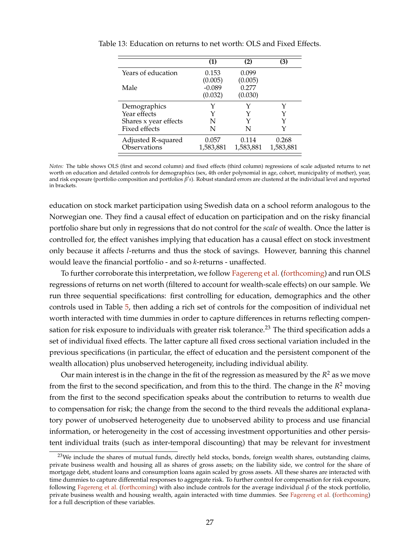|                                    | (1)                | (2)                | (3)                |
|------------------------------------|--------------------|--------------------|--------------------|
| Years of education                 | 0.153              | 0.099              |                    |
|                                    | (0.005)            | (0.005)            |                    |
| Male                               | $-0.089$           | 0.277              |                    |
|                                    | (0.032)            | (0.030)            |                    |
| Demographics                       |                    |                    |                    |
| Year effects                       |                    |                    |                    |
| Shares x year effects              | N                  |                    |                    |
| Fixed effects                      | N                  | N                  |                    |
| Adjusted R-squared<br>Observations | 0.057<br>1,583,881 | 0.114<br>1,583,881 | 0.268<br>1,583,881 |

<span id="page-28-0"></span>Table 13: Education on returns to net worth: OLS and Fixed Effects.

*Notes:* The table shows OLS (first and second column) and fixed effects (third column) regressions of scale adjusted returns to net worth on education and detailed controls for demographics (sex, 4th order polynomial in age, cohort, municipality of mother), year, and risk exposure (portfolio composition and portfolios β's). Robust standard errors are clustered at the individual level and reported in brackets.

education on stock market participation using Swedish data on a school reform analogous to the Norwegian one. They find a causal effect of education on participation and on the risky financial portfolio share but only in regressions that do not control for the *scale* of wealth. Once the latter is controlled for, the effect vanishes implying that education has a causal effect on stock investment only because it affects *l*-returns and thus the stock of savings. However, banning this channel would leave the financial portfolio - and so *k*-returns - unaffected.

To further corroborate this interpretation, we follow [Fagereng et al.](#page-32-3) [\(forthcoming\)](#page-32-3) and run OLS regressions of returns on net worth (filtered to account for wealth-scale effects) on our sample. We run three sequential specifications: first controlling for education, demographics and the other controls used in Table [5,](#page-19-1) then adding a rich set of controls for the composition of individual net worth interacted with time dummies in order to capture differences in returns reflecting compensation for risk exposure to individuals with greater risk tolerance.<sup>23</sup> The third specification adds a set of individual fixed effects. The latter capture all fixed cross sectional variation included in the previous specifications (in particular, the effect of education and the persistent component of the wealth allocation) plus unobserved heterogeneity, including individual ability.

Our main interest is in the change in the fit of the regression as measured by the  $R^2$  as we move from the first to the second specification, and from this to the third. The change in the *R* <sup>2</sup> moving from the first to the second specification speaks about the contribution to returns to wealth due to compensation for risk; the change from the second to the third reveals the additional explanatory power of unobserved heterogeneity due to unobserved ability to process and use financial information, or heterogeneity in the cost of accessing investment opportunities and other persistent individual traits (such as inter-temporal discounting) that may be relevant for investment

<sup>&</sup>lt;sup>23</sup>We include the shares of mutual funds, directly held stocks, bonds, foreign wealth shares, outstanding claims, private business wealth and housing all as shares of gross assets; on the liability side, we control for the share of mortgage debt, student loans and consumption loans again scaled by gross assets. All these shares are interacted with time dummies to capture differential responses to aggregate risk. To further control for compensation for risk exposure, following [Fagereng et al.](#page-32-3) [\(forthcoming\)](#page-32-3) with also include controls for the average individual *β* of the stock portfolio, private business wealth and housing wealth, again interacted with time dummies. See [Fagereng et al.](#page-32-3) [\(forthcoming\)](#page-32-3) for a full description of these variables.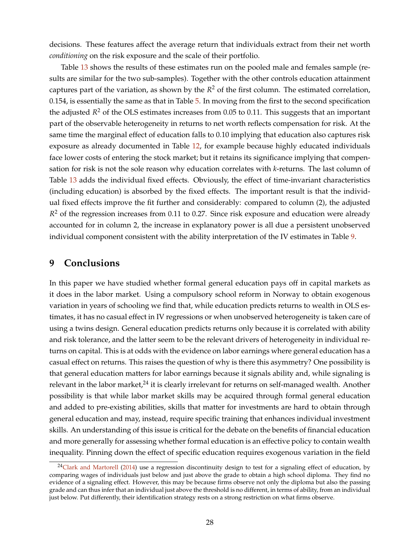decisions. These features affect the average return that individuals extract from their net worth *conditioning* on the risk exposure and the scale of their portfolio.

Table [13](#page-28-0) shows the results of these estimates run on the pooled male and females sample (results are similar for the two sub-samples). Together with the other controls education attainment captures part of the variation, as shown by the *R* <sup>2</sup> of the first column. The estimated correlation, 0.154, is essentially the same as that in Table [5.](#page-19-1) In moving from the first to the second specification the adjusted *R* <sup>2</sup> of the OLS estimates increases from 0.05 to 0.11. This suggests that an important part of the observable heterogeneity in returns to net worth reflects compensation for risk. At the same time the marginal effect of education falls to 0.10 implying that education also captures risk exposure as already documented in Table [12,](#page-27-0) for example because highly educated individuals face lower costs of entering the stock market; but it retains its significance implying that compensation for risk is not the sole reason why education correlates with *k*-returns. The last column of Table [13](#page-28-0) adds the individual fixed effects. Obviously, the effect of time-invariant characteristics (including education) is absorbed by the fixed effects. The important result is that the individual fixed effects improve the fit further and considerably: compared to column (2), the adjusted  $R<sup>2</sup>$  of the regression increases from 0.11 to 0.27. Since risk exposure and education were already accounted for in column 2, the increase in explanatory power is all due a persistent unobserved individual component consistent with the ability interpretation of the IV estimates in Table [9.](#page-23-0)

#### <span id="page-29-0"></span>**9 Conclusions**

In this paper we have studied whether formal general education pays off in capital markets as it does in the labor market. Using a compulsory school reform in Norway to obtain exogenous variation in years of schooling we find that, while education predicts returns to wealth in OLS estimates, it has no casual effect in IV regressions or when unobserved heterogeneity is taken care of using a twins design. General education predicts returns only because it is correlated with ability and risk tolerance, and the latter seem to be the relevant drivers of heterogeneity in individual returns on capital. This is at odds with the evidence on labor earnings where general education has a casual effect on returns. This raises the question of why is there this asymmetry? One possibility is that general education matters for labor earnings because it signals ability and, while signaling is relevant in the labor market, $24$  it is clearly irrelevant for returns on self-managed wealth. Another possibility is that while labor market skills may be acquired through formal general education and added to pre-existing abilities, skills that matter for investments are hard to obtain through general education and may, instead, require specific training that enhances individual investment skills. An understanding of this issue is critical for the debate on the benefits of financial education and more generally for assessing whether formal education is an effective policy to contain wealth inequality. Pinning down the effect of specific education requires exogenous variation in the field

<sup>&</sup>lt;sup>24</sup>[Clark and Martorell](#page-32-13) [\(2014\)](#page-32-13) use a regression discontinuity design to test for a signaling effect of education, by comparing wages of individuals just below and just above the grade to obtain a high school diploma. They find no evidence of a signaling effect. However, this may be because firms observe not only the diploma but also the passing grade and can thus infer that an individual just above the threshold is no different, in terms of ability, from an individual just below. Put differently, their identification strategy rests on a strong restriction on what firms observe.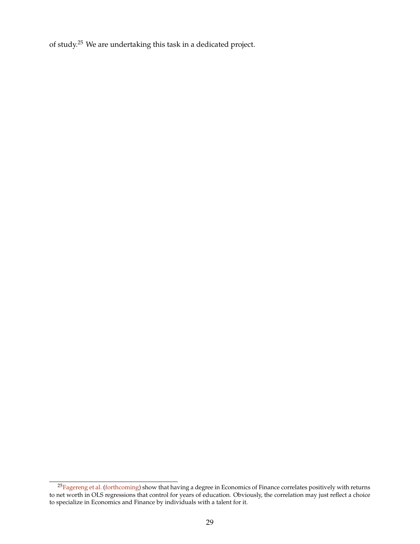of study.<sup>25</sup> We are undertaking this task in a dedicated project.

<sup>&</sup>lt;sup>25</sup>[Fagereng et al.](#page-32-3) [\(forthcoming\)](#page-32-3) show that having a degree in Economics of Finance correlates positively with returns to net worth in OLS regressions that control for years of education. Obviously, the correlation may just reflect a choice to specialize in Economics and Finance by individuals with a talent for it.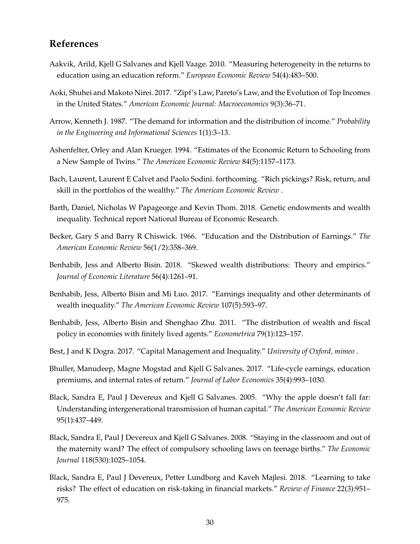## **References**

- <span id="page-31-5"></span>Aakvik, Arild, Kjell G Salvanes and Kjell Vaage. 2010. "Measuring heterogeneity in the returns to education using an education reform." *European Economic Review* 54(4):483–500.
- <span id="page-31-3"></span>Aoki, Shuhei and Makoto Nirei. 2017. "Zipf's Law, Pareto's Law, and the Evolution of Top Incomes in the United States." *American Economic Journal: Macroeconomics* 9(3):36–71.
- <span id="page-31-12"></span>Arrow, Kenneth J. 1987. "The demand for information and the distribution of income." *Probability in the Engineering and Informational Sciences* 1(1):3–13.
- <span id="page-31-9"></span>Ashenfelter, Orley and Alan Krueger. 1994. "Estimates of the Economic Return to Schooling from a New Sample of Twins." *The American Economic Review* 84(5):1157–1173.
- <span id="page-31-4"></span>Bach, Laurent, Laurent E Calvet and Paolo Sodini. forthcoming. "Rich pickings? Risk, return, and skill in the portfolios of the wealthy." *The American Economic Review* .
- <span id="page-31-11"></span>Barth, Daniel, Nicholas W Papageorge and Kevin Thom. 2018. Genetic endowments and wealth inequality. Technical report National Bureau of Economic Research.
- <span id="page-31-8"></span>Becker, Gary S and Barry R Chiswick. 1966. "Education and the Distribution of Earnings." *The American Economic Review* 56(1/2):358–369.
- <span id="page-31-2"></span>Benhabib, Jess and Alberto Bisin. 2018. "Skewed wealth distributions: Theory and empirics." *Journal of Economic Literature* 56(4):1261–91.
- <span id="page-31-1"></span>Benhabib, Jess, Alberto Bisin and Mi Luo. 2017. "Earnings inequality and other determinants of wealth inequality." *The American Economic Review* 107(5):593–97.
- <span id="page-31-0"></span>Benhabib, Jess, Alberto Bisin and Shenghao Zhu. 2011. "The distribution of wealth and fiscal policy in economies with finitely lived agents." *Econometrica* 79(1):123–157.
- <span id="page-31-13"></span>Best, J and K Dogra. 2017. "Capital Management and Inequality." *University of Oxford, mimeo* .
- <span id="page-31-6"></span>Bhuller, Manudeep, Magne Mogstad and Kjell G Salvanes. 2017. "Life-cycle earnings, education premiums, and internal rates of return." *Journal of Labor Economics* 35(4):993–1030.
- <span id="page-31-7"></span>Black, Sandra E, Paul J Devereux and Kjell G Salvanes. 2005. "Why the apple doesn't fall far: Understanding intergenerational transmission of human capital." *The American Economic Review* 95(1):437–449.
- <span id="page-31-10"></span>Black, Sandra E, Paul J Devereux and Kjell G Salvanes. 2008. "Staying in the classroom and out of the maternity ward? The effect of compulsory schooling laws on teenage births." *The Economic Journal* 118(530):1025–1054.
- <span id="page-31-14"></span>Black, Sandra E, Paul J Devereux, Petter Lundborg and Kaveh Majlesi. 2018. "Learning to take risks? The effect of education on risk-taking in financial markets." *Review of Finance* 22(3):951– 975.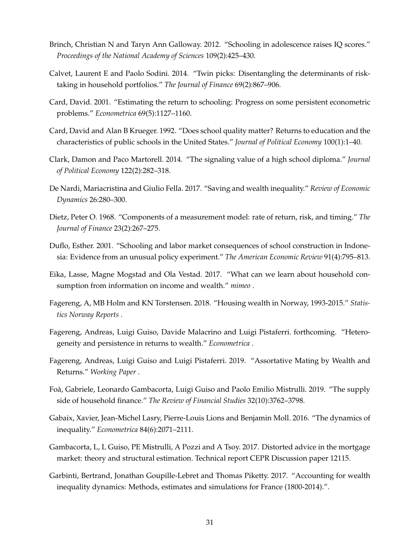- <span id="page-32-10"></span>Brinch, Christian N and Taryn Ann Galloway. 2012. "Schooling in adolescence raises IQ scores." *Proceedings of the National Academy of Sciences* 109(2):425–430.
- <span id="page-32-12"></span>Calvet, Laurent E and Paolo Sodini. 2014. "Twin picks: Disentangling the determinants of risktaking in household portfolios." *The Journal of Finance* 69(2):867–906.
- <span id="page-32-5"></span>Card, David. 2001. "Estimating the return to schooling: Progress on some persistent econometric problems." *Econometrica* 69(5):1127–1160.
- <span id="page-32-4"></span>Card, David and Alan B Krueger. 1992. "Does school quality matter? Returns to education and the characteristics of public schools in the United States." *Journal of Political Economy* 100(1):1–40.
- <span id="page-32-13"></span>Clark, Damon and Paco Martorell. 2014. "The signaling value of a high school diploma." *Journal of Political Economy* 122(2):282–318.
- <span id="page-32-0"></span>De Nardi, Mariacristina and Giulio Fella. 2017. "Saving and wealth inequality." *Review of Economic Dynamics* 26:280–300.
- <span id="page-32-8"></span>Dietz, Peter O. 1968. "Components of a measurement model: rate of return, risk, and timing." *The Journal of Finance* 23(2):267–275.
- <span id="page-32-6"></span>Duflo, Esther. 2001. "Schooling and labor market consequences of school construction in Indonesia: Evidence from an unusual policy experiment." *The American Economic Review* 91(4):795–813.
- <span id="page-32-9"></span>Eika, Lasse, Magne Mogstad and Ola Vestad. 2017. "What can we learn about household consumption from information on income and wealth." *mimeo* .
- <span id="page-32-7"></span>Fagereng, A, MB Holm and KN Torstensen. 2018. "Housing wealth in Norway, 1993-2015." *Statistics Norway Reports* .
- <span id="page-32-3"></span>Fagereng, Andreas, Luigi Guiso, Davide Malacrino and Luigi Pistaferri. forthcoming. "Heterogeneity and persistence in returns to wealth." *Econometrica* .
- <span id="page-32-11"></span>Fagereng, Andreas, Luigi Guiso and Luigi Pistaferri. 2019. "Assortative Mating by Wealth and Returns." *Working Paper* .
- <span id="page-32-15"></span>Foà, Gabriele, Leonardo Gambacorta, Luigi Guiso and Paolo Emilio Mistrulli. 2019. "The supply side of household finance." *The Review of Financial Studies* 32(10):3762–3798.
- <span id="page-32-1"></span>Gabaix, Xavier, Jean-Michel Lasry, Pierre-Louis Lions and Benjamin Moll. 2016. "The dynamics of inequality." *Econometrica* 84(6):2071–2111.
- <span id="page-32-14"></span>Gambacorta, L, L Guiso, PE Mistrulli, A Pozzi and A Tsoy. 2017. Distorted advice in the mortgage market: theory and structural estimation. Technical report CEPR Discussion paper 12115.
- <span id="page-32-2"></span>Garbinti, Bertrand, Jonathan Goupille-Lebret and Thomas Piketty. 2017. "Accounting for wealth inequality dynamics: Methods, estimates and simulations for France (1800-2014).".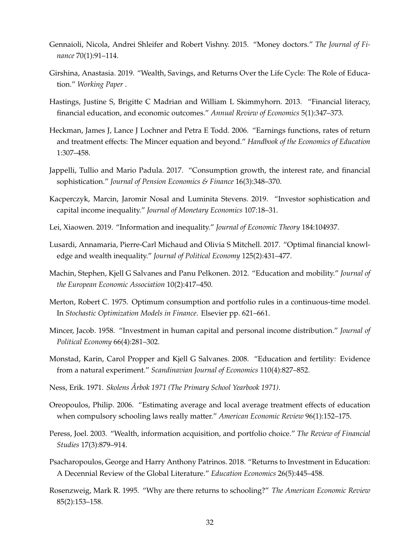- <span id="page-33-15"></span>Gennaioli, Nicola, Andrei Shleifer and Robert Vishny. 2015. "Money doctors." *The Journal of Finance* 70(1):91–114.
- <span id="page-33-8"></span>Girshina, Anastasia. 2019. "Wealth, Savings, and Returns Over the Life Cycle: The Role of Education." *Working Paper* .
- <span id="page-33-11"></span>Hastings, Justine S, Brigitte C Madrian and William L Skimmyhorn. 2013. "Financial literacy, financial education, and economic outcomes." *Annual Review of Economics* 5(1):347–373.
- <span id="page-33-3"></span>Heckman, James J, Lance J Lochner and Petra E Todd. 2006. "Earnings functions, rates of return and treatment effects: The Mincer equation and beyond." *Handbook of the Economics of Education* 1:307–458.
- <span id="page-33-14"></span>Jappelli, Tullio and Mario Padula. 2017. "Consumption growth, the interest rate, and financial sophistication." *Journal of Pension Economics & Finance* 16(3):348–370.
- <span id="page-33-10"></span>Kacperczyk, Marcin, Jaromir Nosal and Luminita Stevens. 2019. "Investor sophistication and capital income inequality." *Journal of Monetary Economics* 107:18–31.
- <span id="page-33-1"></span>Lei, Xiaowen. 2019. "Information and inequality." *Journal of Economic Theory* 184:104937.
- <span id="page-33-13"></span>Lusardi, Annamaria, Pierre-Carl Michaud and Olivia S Mitchell. 2017. "Optimal financial knowledge and wealth inequality." *Journal of Political Economy* 125(2):431–477.
- <span id="page-33-6"></span>Machin, Stephen, Kjell G Salvanes and Panu Pelkonen. 2012. "Education and mobility." *Journal of the European Economic Association* 10(2):417–450.
- <span id="page-33-12"></span>Merton, Robert C. 1975. Optimum consumption and portfolio rules in a continuous-time model. In *Stochastic Optimization Models in Finance*. Elsevier pp. 621–661.
- <span id="page-33-0"></span>Mincer, Jacob. 1958. "Investment in human capital and personal income distribution." *Journal of Political Economy* 66(4):281–302.
- <span id="page-33-7"></span>Monstad, Karin, Carol Propper and Kjell G Salvanes. 2008. "Education and fertility: Evidence from a natural experiment." *Scandinavian Journal of Economics* 110(4):827–852.
- <span id="page-33-16"></span>Ness, Erik. 1971. *Skolens Årbok 1971 (The Primary School Yearbook 1971)*.
- <span id="page-33-4"></span>Oreopoulos, Philip. 2006. "Estimating average and local average treatment effects of education when compulsory schooling laws really matter." *American Economic Review* 96(1):152–175.
- <span id="page-33-9"></span>Peress, Joel. 2003. "Wealth, information acquisition, and portfolio choice." *The Review of Financial Studies* 17(3):879–914.
- <span id="page-33-5"></span>Psacharopoulos, George and Harry Anthony Patrinos. 2018. "Returns to Investment in Education: A Decennial Review of the Global Literature." *Education Economics* 26(5):445–458.
- <span id="page-33-2"></span>Rosenzweig, Mark R. 1995. "Why are there returns to schooling?" *The American Economic Review* 85(2):153–158.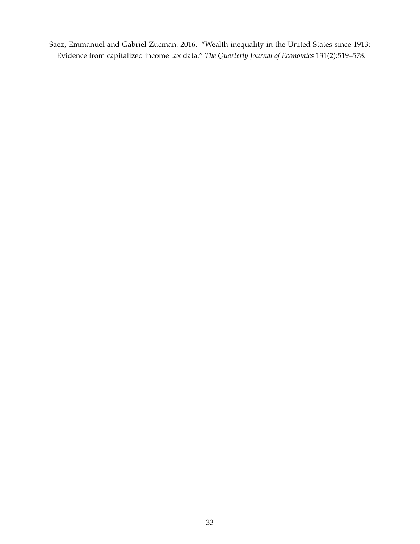<span id="page-34-0"></span>Saez, Emmanuel and Gabriel Zucman. 2016. "Wealth inequality in the United States since 1913: Evidence from capitalized income tax data." *The Quarterly Journal of Economics* 131(2):519–578.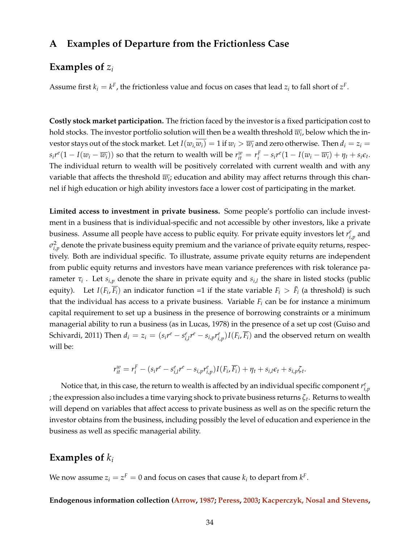## **A Examples of Departure from the Frictionless Case**

## **Examples of** *z<sup>i</sup>*

Assume first  $k_i = k^F$ , the frictionless value and focus on cases that lead  $z_i$  to fall short of  $z^F$ .

**Costly stock market participation.** The friction faced by the investor is a fixed participation cost to hold stocks. The investor portfolio solution will then be a wealth threshold  $\overline{w_i}$ , below which the investor stays out of the stock market. Let  $I(w_i,\overline{w_i)} = 1$  if  $w_i > \overline{w_i}$  and zero otherwise. Then  $d_i = z_i$  $s_i r^e (1-I(w_i-\overline{w_i}))$  so that the return to wealth will be  $r_{it}^w = r_i^F - s_i r^e (1-I(w_i-\overline{w_i}) + \eta_t + s_i \epsilon_t)$ . The individual return to wealth will be positively correlated with current wealth and with any variable that affects the threshold  $\overline{w_i}$ ; education and ability may affect returns through this channel if high education or high ability investors face a lower cost of participating in the market.

**Limited access to investment in private business.** Some people's portfolio can include investment in a business that is individual-specific and not accessible by other investors, like a private business. Assume all people have access to public equity. For private equity investors let  $r_{i,p}^e$  and  $\sigma _{i,p}^2$  denote the private business equity premium and the variance of private equity returns, respectively. Both are individual specific. To illustrate, assume private equity returns are independent from public equity returns and investors have mean variance preferences with risk tolerance parameter *τ<sup>i</sup>* . Let *si*,*<sup>p</sup>* denote the share in private equity and *si*,*<sup>l</sup>* the share in listed stocks (public equity). Let  $I(F_i, \overline{F_i})$  an indicator function =1 if the state variable  $F_i > \overline{F_i}$  (a threshold) is such that the individual has access to a private business. Variable  $F_i$  can be for instance a minimum capital requirement to set up a business in the presence of borrowing constraints or a minimum managerial ability to run a business (as in Lucas, 1978) in the presence of a set up cost (Guiso and Schivardi, 2011) Then  $d_i=z_i=(s_ir^e-s_{i,l}^e r^e-s_{i,p}r_{i,p}^e)I(F_i,\overline{F_i})$  and the observed return on wealth will be:

$$
r_{it}^w = r_i^F - (s_i r^e - s_{i,l}^e r^e - s_{i,p} r_{i,p}^e) I(F_i, \overline{F_i}) + \eta_t + s_{i,l} \epsilon_t + s_{i,p} \zeta_t.
$$

Notice that, in this case, the return to wealth is affected by an individual specific component  $r^e_{i,p}$ ; the expression also includes a time varying shock to private business returns *ζ<sup>t</sup>* . Returns to wealth will depend on variables that affect access to private business as well as on the specific return the investor obtains from the business, including possibly the level of education and experience in the business as well as specific managerial ability.

## **Examples of** *k<sup>i</sup>*

We now assume  $z_i = z^F = 0$  and focus on cases that cause  $k_i$  to depart from  $k^F$ .

**Endogenous information collection [\(Arrow,](#page-31-12) [1987;](#page-31-12) [Peress,](#page-33-9) [2003;](#page-33-9) [Kacperczyk, Nosal and Stevens,](#page-33-10)**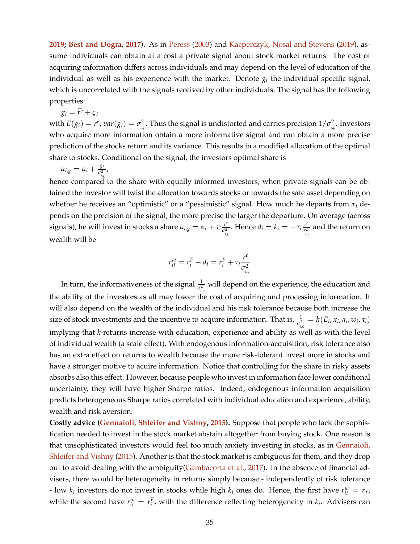**[2019;](#page-33-10) [Best and Dogra,](#page-31-13) [2017\)](#page-31-13).** As in [Peress](#page-33-9) [\(2003\)](#page-33-9) and [Kacperczyk, Nosal and Stevens](#page-33-10) [\(2019\)](#page-33-10), assume individuals can obtain at a cost a private signal about stock market returns. The cost of acquiring information differs across individuals and may depend on the level of education of the individual as well as his experience with the market. Denote  $g_i$  the individual specific signal, which is uncorrelated with the signals received by other individuals. The signal has the following properties:

$$
g_i = \widetilde{r^e} + \varsigma_i
$$

with  $E(g_i) = r^e$ ,  $var(g_i) = \sigma_{i,j}^2$  $\frac{2}{\mu_{i,\zeta}}$ . Thus the signal is undistorted and carries precision  $1/\sigma_{i,\zeta}^2$ *i*,*ς* . Investors who acquire more information obtain a more informative signal and can obtain a more precise prediction of the stocks return and its variance. This results in a modified allocation of the optimal share to stocks. Conditional on the signal, the investors optimal share is

 $\alpha_{i,g} = \alpha_i + \frac{g_i}{\sigma^2}$  $\frac{8i}{\sigma_{i,c}^2}$ , *i*,*ς* hence compared to the share with equally informed investors, when private signals can be obtained the investor will twist the allocation towards stocks or towards the safe asset depending on whether he receives an "optimistic" or a "pessimistic" signal. How much he departs from *α<sup>i</sup>* depends on the precision of the signal, the more precise the larger the departure. On average (across signals), he will invest in stocks a share  $\alpha_{i,g} = \alpha_i + \tau_i \frac{r^e}{\sigma^2}$  $\frac{r^e}{\sigma_{i,\varsigma}^2}$ . Hence  $d_i = k_i = -\tau_i \frac{r^e}{\sigma_{i,\varsigma}^2}$  $\frac{r^2}{\sigma_{i,\varsigma}^2}$  and the return on wealth will be

$$
r_{it}^w = r_i^F - d_i = r_i^F + \tau_i \frac{r^e}{\sigma_{i,\varsigma}^2}
$$

In turn, the informativeness of the signal  $\frac{1}{\sigma_{i,\varsigma}^2}$  will depend on the experience, the education and the ability of the investors as all may lower the cost of acquiring and processing information. It will also depend on the wealth of the individual and his risk tolerance because both increase the size of stock investments and the incentive to acquire information. That is,  $\frac{1}{\sigma_{i,\zeta}^2} = h(E_i,x_i,a_i,w_i,\tau_i)$ implying that *k*-returns increase with education, experience and ability as well as with the level of individual wealth (a scale effect). With endogenous information-acquisition, risk tolerance also has an extra effect on returns to wealth because the more risk-tolerant invest more in stocks and have a stronger motive to acuire information. Notice that controlling for the share in risky assets absorbs also this effect. However, because people who invest in information face lower conditional uncertainty, they will have higher Sharpe ratios. Indeed, endogenous information acquisition predicts heterogeneous Sharpe ratios correlated with individual education and experience, ability, wealth and risk aversion.

**Costly advice [\(Gennaioli, Shleifer and Vishny,](#page-33-15) [2015\)](#page-33-15).** Suppose that people who lack the sophistication needed to invest in the stock market abstain altogether from buying stock. One reason is that unsophisticated investors would feel too much anxiety investing in stocks, as in [Gennaioli,](#page-33-15) [Shleifer and Vishny](#page-33-15) [\(2015\)](#page-33-15). Another is that the stock market is ambiguous for them, and they drop out to avoid dealing with the ambiguity[\(Gambacorta et al.,](#page-32-14) [2017\)](#page-32-14). In the absence of financial advisers, there would be heterogeneity in returns simply because - independently of risk tolerance - low  $k_i$  investors do not invest in stocks while high  $k_i$  ones do. Hence, the first have  $r_{it}^w = r_f$ , while the second have  $r_{it}^w = r_i^F$ , with the difference reflecting heterogeneity in  $k_i$ . Advisers can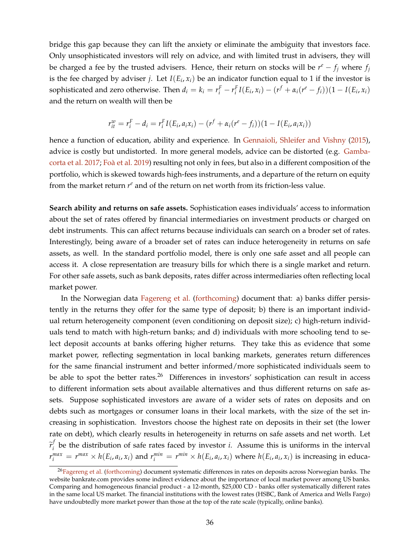bridge this gap because they can lift the anxiety or eliminate the ambiguity that investors face. Only unsophisticated investors will rely on advice, and with limited trust in advisers, they will be charged a fee by the trusted advisers. Hence, their return on stocks will be  $r^e - f_j$  where  $f_j$ is the fee charged by adviser *j*. Let  $I(E_i, x_i)$  be an indicator function equal to 1 if the investor is sophisticated and zero otherwise. Then  $d_i = k_i = r_i^F - r_i^F I(E_i, x_i) - (r^f + \alpha_i(r^e - f_i))(1 - I(E_i, x_i))$ and the return on wealth will then be

$$
r_{it}^{w} = r_{i}^{F} - d_{i} = r_{i}^{F} I(E_{i}, a_{i} x_{i}) - (r^{f} + \alpha_{i} (r^{e} - f_{i})) (1 - I(E_{i}, a_{i} x_{i}))
$$

hence a function of education, ability and experience. In [Gennaioli, Shleifer and Vishny](#page-33-15) [\(2015\)](#page-33-15), advice is costly but undistorted. In more general models, advice can be distorted (e.g. [Gamba](#page-32-14)[corta et al.](#page-32-14) [2017;](#page-32-14) [Foà et al.](#page-32-15) [2019\)](#page-32-15) resulting not only in fees, but also in a different composition of the portfolio, which is skewed towards high-fees instruments, and a departure of the return on equity from the market return  $r^e$  and of the return on net worth from its friction-less value.

**Search ability and returns on safe assets.** Sophistication eases individuals' access to information about the set of rates offered by financial intermediaries on investment products or charged on debt instruments. This can affect returns because individuals can search on a broder set of rates. Interestingly, being aware of a broader set of rates can induce heterogeneity in returns on safe assets, as well. In the standard portfolio model, there is only one safe asset and all people can access it. A close representation are treasury bills for which there is a single market and return. For other safe assets, such as bank deposits, rates differ across intermediaries often reflecting local market power.

In the Norwegian data [Fagereng et al.](#page-32-3) [\(forthcoming\)](#page-32-3) document that: a) banks differ persistently in the returns they offer for the same type of deposit; b) there is an important individual return heterogeneity component (even conditioning on deposit size); c) high-return individuals tend to match with high-return banks; and d) individuals with more schooling tend to select deposit accounts at banks offering higher returns. They take this as evidence that some market power, reflecting segmentation in local banking markets, generates return differences for the same financial instrument and better informed/more sophisticated individuals seem to be able to spot the better rates.<sup>26</sup> Differences in investors' sophistication can result in access to different information sets about available alternatives and thus different returns on safe assets. Suppose sophisticated investors are aware of a wider sets of rates on deposits and on debts such as mortgages or consumer loans in their local markets, with the size of the set increasing in sophistication. Investors choose the highest rate on deposits in their set (the lower rate on debt), which clearly results in heterogeneity in returns on safe assets and net worth. Let  $\widetilde{r}_i^f$  $\mathbf{F}_i^j$  be the distribution of safe rates faced by investor *i*. Assume this is uniforms in the interval  $r_i^{max} = r^{max} \times h(E_i, a_i, x_i)$  and  $r_i^{min} = r^{min} \times h(E_i, a_i, x_i)$  where  $h(E_i, a_i, x_i)$  is increasing in educa-

<sup>&</sup>lt;sup>26</sup>[Fagereng et al.](#page-32-3) [\(forthcoming\)](#page-32-3) document systematic differences in rates on deposits across Norwegian banks. The website bankrate.com provides some indirect evidence about the importance of local market power among US banks. Comparing and homogeneous financial product - a 12-month, \$25,000 CD - banks offer systematically different rates in the same local US market. The financial institutions with the lowest rates (HSBC, Bank of America and Wells Fargo) have undoubtedly more market power than those at the top of the rate scale (typically, online banks).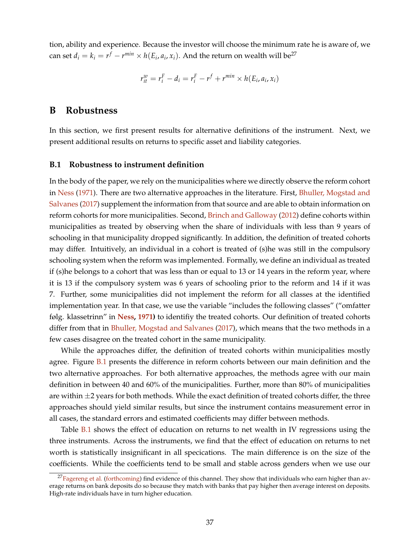tion, ability and experience. Because the investor will choose the minimum rate he is aware of, we can set  $d_i = k_i = r^f - r^{min} \times h(E_i, a_i, x_i)$ . And the return on wealth will be<sup>27</sup>

$$
r_{it}^w = r_i^F - d_i = r_i^F - r^f + r^{min} \times h(E_i, a_i, x_i)
$$

### <span id="page-38-0"></span>**B Robustness**

In this section, we first present results for alternative definitions of the instrument. Next, we present additional results on returns to specific asset and liability categories.

#### **B.1 Robustness to instrument definition**

In the body of the paper, we rely on the municipalities where we directly observe the reform cohort in [Ness](#page-33-16) [\(1971\)](#page-33-16). There are two alternative approaches in the literature. First, [Bhuller, Mogstad and](#page-31-6) [Salvanes](#page-31-6) [\(2017\)](#page-31-6) supplement the information from that source and are able to obtain information on reform cohorts for more municipalities. Second, [Brinch and Galloway](#page-32-10) [\(2012\)](#page-32-10) define cohorts within municipalities as treated by observing when the share of individuals with less than 9 years of schooling in that municipality dropped significantly. In addition, the definition of treated cohorts may differ. Intuitively, an individual in a cohort is treated of (s)he was still in the compulsory schooling system when the reform was implemented. Formally, we define an individual as treated if (s)he belongs to a cohort that was less than or equal to 13 or 14 years in the reform year, where it is 13 if the compulsory system was 6 years of schooling prior to the reform and 14 if it was 7. Further, some municipalities did not implement the reform for all classes at the identified implementation year. In that case, we use the variable "includes the following classes" ("omfatter følg. klassetrinn" in **[Ness,](#page-33-16) [1971\)](#page-33-16)** to identifiy the treated cohorts. Our definition of treated cohorts differ from that in [Bhuller, Mogstad and Salvanes](#page-31-6) [\(2017\)](#page-31-6), which means that the two methods in a few cases disagree on the treated cohort in the same municipality.

While the approaches differ, the definition of treated cohorts within municipalities mostly agree. Figure [B.1](#page-39-0) presents the difference in reform cohorts between our main definition and the two alternative approaches. For both alternative approaches, the methods agree with our main definition in between 40 and 60% of the municipalities. Further, more than 80% of municipalities are within  $\pm 2$  years for both methods. While the exact definition of treated cohorts differ, the three approaches should yield similar results, but since the instrument contains measurement error in all cases, the standard errors and estimated coefficients may differ between methods.

Table [B.1](#page-40-0) shows the effect of education on returns to net wealth in IV regressions using the three instruments. Across the instruments, we find that the effect of education on returns to net worth is statistically insignificant in all specications. The main difference is on the size of the coefficients. While the coefficients tend to be small and stable across genders when we use our

 $^{27}$ [Fagereng et al.](#page-32-3) [\(forthcoming\)](#page-32-3) find evidence of this channel. They show that individuals who earn higher than average returns on bank deposits do so because they match with banks that pay higher then average interest on deposits. High-rate individuals have in turn higher education.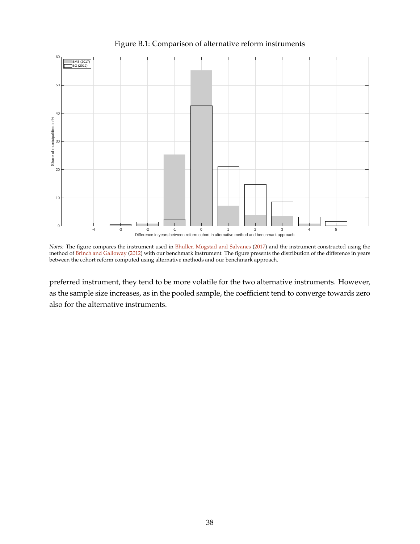<span id="page-39-0"></span>

Figure B.1: Comparison of alternative reform instruments

*Notes:* The figure compares the instrument used in [Bhuller, Mogstad and Salvanes](#page-31-6) [\(2017\)](#page-31-6) and the instrument constructed using the method of [Brinch and Galloway](#page-32-10) [\(2012\)](#page-32-10) with our benchmark instrument. The figure presents the distribution of the difference in years between the cohort reform computed using alternative methods and our benchmark approach.

preferred instrument, they tend to be more volatile for the two alternative instruments. However, as the sample size increases, as in the pooled sample, the coefficient tend to converge towards zero also for the alternative instruments.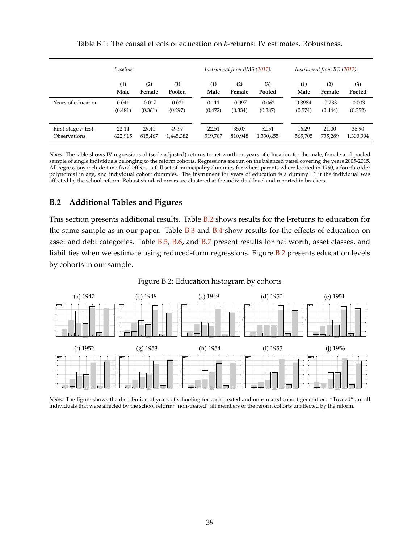<span id="page-40-0"></span>

| Baseline:          |         |          | Instrument from BMS (2017): |         |          | Instrument from BG (2012): |         |          |           |
|--------------------|---------|----------|-----------------------------|---------|----------|----------------------------|---------|----------|-----------|
|                    | (1)     | (2)      | (3)                         | (1)     | (2)      | (3)                        | (1)     | (2)      | (3)       |
|                    | Male    | Female   | Pooled                      | Male    | Female   | Pooled                     | Male    | Female   | Pooled    |
| Years of education | 0.041   | $-0.017$ | $-0.021$                    | 0.111   | $-0.097$ | $-0.062$                   | 0.3984  | $-0.233$ | $-0.003$  |
|                    | (0.481) | (0.361)  | (0.297)                     | (0.472) | (0.334)  | (0.287)                    | (0.574) | (0.444)  | (0.352)   |
| First-stage F-test | 22.14   | 29.41    | 49.97                       | 22.51   | 35.07    | 52.51                      | 16.29   | 21.00    | 36.90     |
| Observations       | 622,915 | 815,467  | 1,445,382                   | 519,707 | 810,948  | 1,330,655                  | 565,705 | 735,289  | 1,300,994 |

Table B.1: The causal effects of education on *k*-returns: IV estimates. Robustness.

*Notes:* The table shows IV regressions of (scale adjusted) returns to net worth on years of education for the male, female and pooled sample of single individuals belonging to the reform cohorts. Regressions are run on the balanced panel covering the years 2005-2015. All regressions include time fixed effects, a full set of municipality dummies for where parents where located in 1960, a fourth-order polynomial in age, and individual cohort dummies. The instrument for years of education is a dummy =1 if the individual was affected by the school reform. Robust standard errors are clustered at the individual level and reported in brackets.

#### **B.2 Additional Tables and Figures**

Education Level

Education Level

This section presents additional results. Table [B.2](#page-41-0) shows results for the l-returns to education for the same sample as in our paper. Table [B.3](#page-42-0) and [B.4](#page-43-0) show results for the effects of education on asset and debt categories. Table [B.5,](#page-43-1) [B.6,](#page-44-0) and [B.7](#page-45-0) present results for net worth, asset classes, and liabilities when we estimate using reduced-form regressions. Figure [B.2](#page-40-1) presents education levels by cohorts in our sample.

<span id="page-40-1"></span>

Figure B.2: Education histogram by cohorts

*Notes:* The figure shows the distribution of years of schooling for each treated and non-treated cohort generation. "Treated" are all individuals that were affected by the school reform; "non-treated" all members of the reform cohorts unaffected by the reform.

Education Consult

Education Level

Education Level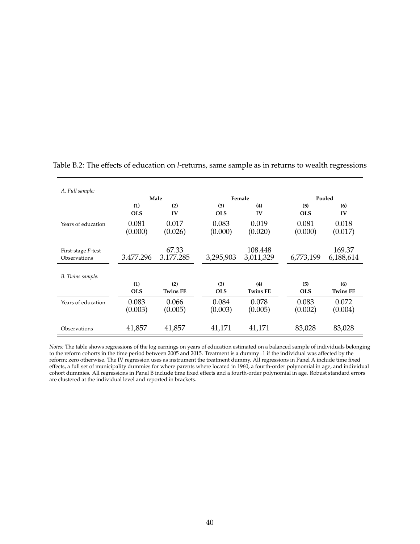| A. Full sample:    |            |                 |            |                 |            |                 |  |  |
|--------------------|------------|-----------------|------------|-----------------|------------|-----------------|--|--|
|                    |            | Male            |            | Female          |            | Pooled          |  |  |
|                    | (1)        | (2)             | (3)        | (4)             | (5)        | (6)             |  |  |
|                    | <b>OLS</b> | IV              | <b>OLS</b> | IV              | <b>OLS</b> | IV              |  |  |
| Years of education | 0.081      | 0.017           | 0.083      | 0.019           | 0.081      | 0.018           |  |  |
|                    | (0.000)    | (0.026)         | (0.000)    | (0.020)         | (0.000)    | (0.017)         |  |  |
| First-stage F-test |            | 67.33           |            | 108.448         |            | 169.37          |  |  |
| Observations       | 3.477.296  | 3.177.285       | 3,295,903  | 3,011,329       | 6,773,199  | 6,188,614       |  |  |
| B. Twins sample:   |            |                 |            |                 |            |                 |  |  |
|                    | (1)        | (2)             | (3)        | (4)             | (5)        | (6)             |  |  |
|                    | <b>OLS</b> | <b>Twins FE</b> | <b>OLS</b> | <b>Twins FE</b> | <b>OLS</b> | <b>Twins FE</b> |  |  |
| Years of education | 0.083      | 0.066           | 0.084      | 0.078           | 0.083      | 0.072           |  |  |
|                    | (0.003)    | (0.005)         | (0.003)    | (0.005)         | (0.002)    | (0.004)         |  |  |
| Observations       | 41,857     | 41,857          | 41,171     | 41,171          | 83,028     | 83,028          |  |  |

<span id="page-41-0"></span>Table B.2: The effects of education on *l*-returns, same sample as in returns to wealth regressions

*Notes:* The table shows regressions of the log earnings on years of education estimated on a balanced sample of individuals belonging to the reform cohorts in the time period between 2005 and 2015. Treatment is a dummy=1 if the individual was affected by the reform; zero otherwise. The IV regression uses as instrument the treatment dummy. All regressions in Panel A include time fixed effects, a full set of municipality dummies for where parents where located in 1960, a fourth-order polynomial in age, and individual cohort dummies. All regressions in Panel B include time fixed effects and a fourth-order polynomial in age. Robust standard errors are clustered at the individual level and reported in brackets.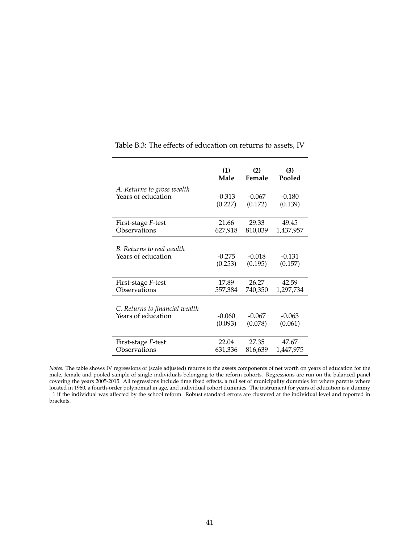|                                | (1)      | (2)      | (3)       |
|--------------------------------|----------|----------|-----------|
|                                | Male     | Female   | Pooled    |
| A. Returns to gross wealth     | -0.313   | $-0.067$ | $-0.180$  |
| Years of education             | (0.227)  | (0.172)  | (0.139)   |
| First-stage F-test             | 21.66    | 29.33    | 49.45     |
| Observations                   | 627,918  | 810,039  | 1,437,957 |
| B. Returns to real wealth      | $-0.275$ | $-0.018$ | $-0.131$  |
| Years of education             | (0.253)  | (0.195)  | (0.157)   |
| First-stage F-test             | 17.89    | 26.27    | 42.59     |
| Observations                   | 557,384  | 740,350  | 1,297,734 |
| C. Returns to financial wealth | $-0.060$ | $-0.067$ | $-0.063$  |
| Years of education             | (0.093)  | (0.078)  | (0.061)   |
| First-stage F-test             | 22.04    | 27.35    | 47.67     |
| Observations                   | 631,336  | 816,639  | 1,447,975 |

<span id="page-42-0"></span>Table B.3: The effects of education on returns to assets, IV

*Notes:* The table shows IV regressions of (scale adjusted) returns to the assets components of net worth on years of education for the male, female and pooled sample of single individuals belonging to the reform cohorts. Regressions are run on the balanced panel covering the years 2005-2015. All regressions include time fixed effects, a full set of municipality dummies for where parents where located in 1960, a fourth-order polynomial in age, and individual cohort dummies. The instrument for years of education is a dummy =1 if the individual was affected by the school reform. Robust standard errors are clustered at the individual level and reported in brackets.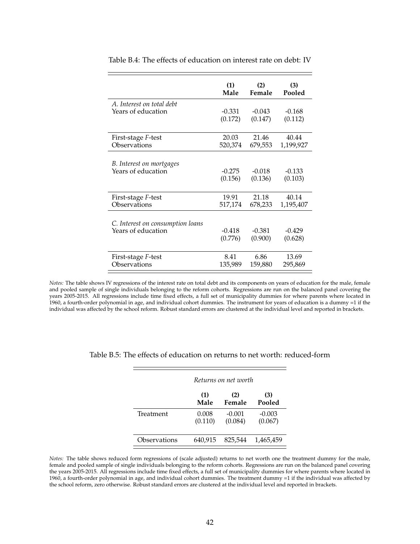|                                                        | (1)<br>Male         | (2)<br>Female       | (3)<br>Pooled       |
|--------------------------------------------------------|---------------------|---------------------|---------------------|
| A. Interest on total debt                              |                     |                     |                     |
| Years of education                                     | $-0.331$            | $-0.043$            | $-0.168$            |
|                                                        | (0.172)             | (0.147)             | (0.112)             |
|                                                        |                     |                     |                     |
| First-stage F-test                                     | 20.03               | 21.46               | 40.44               |
| Observations                                           | 520,374             | 679,553             | 1,199,927           |
| B. Interest on mortgages<br>Years of education         | $-0.275$<br>(0.156) | $-0.018$<br>(0.136) | $-0.133$<br>(0.103) |
| First-stage F-test                                     | 19.91               | 21.18               | 40.14               |
| Observations                                           | 517,174             | 678,233             | 1,195,407           |
| C. Interest on consumption loans<br>Years of education | $-0.418$<br>(0.776) | $-0.381$<br>(0.900) | $-0.429$<br>(0.628) |
| First-stage F-test                                     | 8.41                | 6.86                | 13.69               |
| Observations                                           | 135,989             | 159,880             | 295,869             |
|                                                        |                     |                     |                     |

<span id="page-43-0"></span>Table B.4: The effects of education on interest rate on debt: IV

*Notes:* The table shows IV regressions of the interest rate on total debt and its components on years of education for the male, female and pooled sample of single individuals belonging to the reform cohorts. Regressions are run on the balanced panel covering the years 2005-2015. All regressions include time fixed effects, a full set of municipality dummies for where parents where located in 1960, a fourth-order polynomial in age, and individual cohort dummies. The instrument for years of education is a dummy =1 if the individual was affected by the school reform. Robust standard errors are clustered at the individual level and reported in brackets.

|              | Returns on net worth |          |           |  |
|--------------|----------------------|----------|-----------|--|
|              | (1)                  | (2)      | (3)       |  |
|              | Male                 | Female   | Pooled    |  |
| Treatment    | 0.008                | $-0.001$ | $-0.003$  |  |
|              | (0.110)              | (0.084)  | (0.067)   |  |
| Observations | 640,915              | 825,544  | 1,465,459 |  |

<span id="page-43-1"></span>Table B.5: The effects of education on returns to net worth: reduced-form

*Notes:* The table shows reduced form regressions of (scale adjusted) returns to net worth one the treatment dummy for the male, female and pooled sample of single individuals belonging to the reform cohorts. Regressions are run on the balanced panel covering the years 2005-2015. All regressions include time fixed effects, a full set of municipality dummies for where parents where located in 1960, a fourth-order polynomial in age, and individual cohort dummies. The treatment dummy =1 if the individual was affected by the school reform, zero otherwise. Robust standard errors are clustered at the individual level and reported in brackets.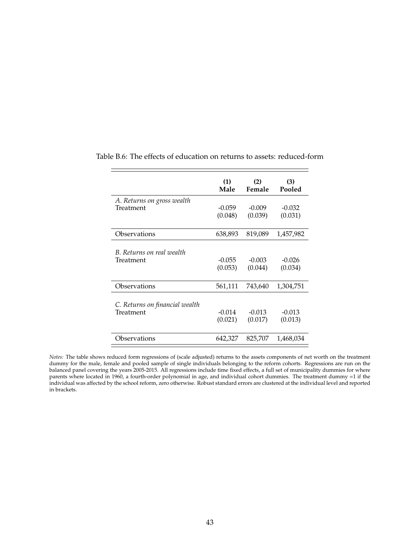|                                             | (1)<br>Male         | (2)<br>Female       | (3)<br>Pooled       |
|---------------------------------------------|---------------------|---------------------|---------------------|
| A. Returns on gross wealth<br>Treatment     | $-0.059$            | $-0.009$            | $-0.032$            |
|                                             | (0.048)             | (0.039)             | (0.031)             |
| Observations                                | 638,893             | 819,089             | 1,457,982           |
| B. Returns on real wealth<br>Treatment      | $-0.055$<br>(0.053) | $-0.003$<br>(0.044) | $-0.026$<br>(0.034) |
| Observations                                | 561,111             | 743,640             | 1,304,751           |
| C. Returns on financial wealth<br>Treatment | $-0.014$<br>(0.021) | $-0.013$<br>(0.017) | $-0.013$<br>(0.013) |
| Observations                                | 642,327             | 825,707             | 1,468,034           |

<span id="page-44-0"></span>Table B.6: The effects of education on returns to assets: reduced-form

*Notes:* The table shows reduced form regressions of (scale adjusted) returns to the assets components of net worth on the treatment dummy for the male, female and pooled sample of single individuals belonging to the reform cohorts. Regressions are run on the balanced panel covering the years 2005-2015. All regressions include time fixed effects, a full set of municipality dummies for where parents where located in 1960, a fourth-order polynomial in age, and individual cohort dummies. The treatment dummy =1 if the individual was affected by the school reform, zero otherwise. Robust standard errors are clustered at the individual level and reported in brackets.